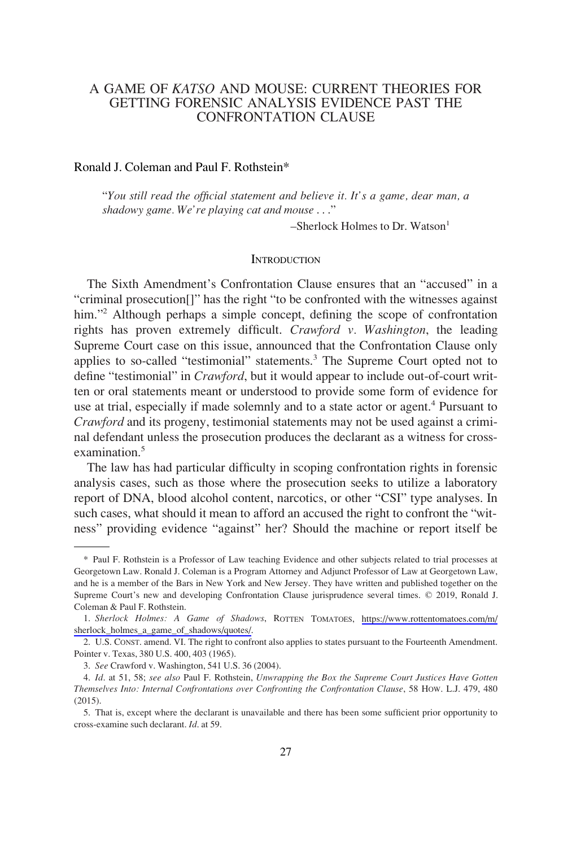# A GAME OF *KATSO* AND MOUSE: CURRENT THEORIES FOR GETTING FORENSIC ANALYSIS EVIDENCE PAST THE CONFRONTATION CLAUSE

#### Ronald J. Coleman and Paul F. Rothstein\*

"*You still read the official statement and believe it. It's a game, dear man, a shadowy game. We're playing cat and mouse* . . ."

 $-$ Sherlock Holmes to Dr. Watson $<sup>1</sup>$ </sup>

#### **INTRODUCTION**

The Sixth Amendment's Confrontation Clause ensures that an "accused" in a "criminal prosecution[]" has the right "to be confronted with the witnesses against him."<sup>2</sup> Although perhaps a simple concept, defining the scope of confrontation rights has proven extremely difficult. *Crawford v. Washington*, the leading Supreme Court case on this issue, announced that the Confrontation Clause only applies to so-called "testimonial" statements.<sup>3</sup> The Supreme Court opted not to define "testimonial" in *Crawford*, but it would appear to include out-of-court written or oral statements meant or understood to provide some form of evidence for use at trial, especially if made solemnly and to a state actor or agent.<sup>4</sup> Pursuant to *Crawford* and its progeny, testimonial statements may not be used against a criminal defendant unless the prosecution produces the declarant as a witness for crossexamination<sup>5</sup>

The law has had particular difficulty in scoping confrontation rights in forensic analysis cases, such as those where the prosecution seeks to utilize a laboratory report of DNA, blood alcohol content, narcotics, or other "CSI" type analyses. In such cases, what should it mean to afford an accused the right to confront the "witness" providing evidence "against" her? Should the machine or report itself be

<sup>\*</sup> Paul F. Rothstein is a Professor of Law teaching Evidence and other subjects related to trial processes at Georgetown Law. Ronald J. Coleman is a Program Attorney and Adjunct Professor of Law at Georgetown Law, and he is a member of the Bars in New York and New Jersey. They have written and published together on the Supreme Court's new and developing Confrontation Clause jurisprudence several times. © 2019, Ronald J. Coleman & Paul F. Rothstein.

*Sherlock Holmes: A Game of Shadows*, ROTTEN TOMATOES, [https://www.rottentomatoes.com/m/](https://www.rottentomatoes.com/m/sherlock_holmes_a_game_of_shadows/quotes/) 1. [sherlock\\_holmes\\_a\\_game\\_of\\_shadows/quotes/](https://www.rottentomatoes.com/m/sherlock_holmes_a_game_of_shadows/quotes/).

<sup>2.</sup> U.S. CONST. amend. VI. The right to confront also applies to states pursuant to the Fourteenth Amendment. Pointer v. Texas, 380 U.S. 400, 403 (1965).

<sup>3.</sup> *See* Crawford v. Washington, 541 U.S. 36 (2004).

<sup>4.</sup> *Id*. at 51, 58; *see also* Paul F. Rothstein, *Unwrapping the Box the Supreme Court Justices Have Gotten Themselves Into: Internal Confrontations over Confronting the Confrontation Clause*, 58 HOW. L.J. 479, 480 (2015).

<sup>5.</sup> That is, except where the declarant is unavailable and there has been some sufficient prior opportunity to cross-examine such declarant. *Id*. at 59.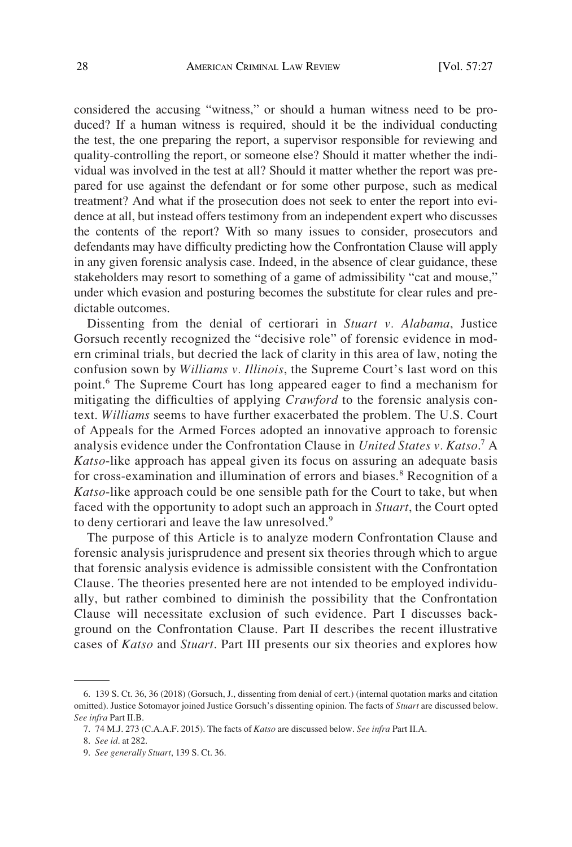considered the accusing "witness," or should a human witness need to be produced? If a human witness is required, should it be the individual conducting the test, the one preparing the report, a supervisor responsible for reviewing and quality-controlling the report, or someone else? Should it matter whether the individual was involved in the test at all? Should it matter whether the report was prepared for use against the defendant or for some other purpose, such as medical treatment? And what if the prosecution does not seek to enter the report into evidence at all, but instead offers testimony from an independent expert who discusses the contents of the report? With so many issues to consider, prosecutors and defendants may have difficulty predicting how the Confrontation Clause will apply in any given forensic analysis case. Indeed, in the absence of clear guidance, these stakeholders may resort to something of a game of admissibility "cat and mouse," under which evasion and posturing becomes the substitute for clear rules and predictable outcomes.

Dissenting from the denial of certiorari in *Stuart v. Alabama*, Justice Gorsuch recently recognized the "decisive role" of forensic evidence in modern criminal trials, but decried the lack of clarity in this area of law, noting the confusion sown by *Williams v. Illinois*, the Supreme Court's last word on this point.<sup>6</sup> The Supreme Court has long appeared eager to find a mechanism for mitigating the difficulties of applying *Crawford* to the forensic analysis context. *Williams* seems to have further exacerbated the problem. The U.S. Court of Appeals for the Armed Forces adopted an innovative approach to forensic analysis evidence under the Confrontation Clause in *United States v. Katso*. <sup>7</sup> A *Katso*-like approach has appeal given its focus on assuring an adequate basis for cross-examination and illumination of errors and biases.<sup>8</sup> Recognition of a *Katso*-like approach could be one sensible path for the Court to take, but when faced with the opportunity to adopt such an approach in *Stuart*, the Court opted to deny certiorari and leave the law unresolved.<sup>9</sup>

The purpose of this Article is to analyze modern Confrontation Clause and forensic analysis jurisprudence and present six theories through which to argue that forensic analysis evidence is admissible consistent with the Confrontation Clause. The theories presented here are not intended to be employed individually, but rather combined to diminish the possibility that the Confrontation Clause will necessitate exclusion of such evidence. Part I discusses background on the Confrontation Clause. Part II describes the recent illustrative cases of *Katso* and *Stuart*. Part III presents our six theories and explores how

<sup>6. 139</sup> S. Ct. 36, 36 (2018) (Gorsuch, J., dissenting from denial of cert.) (internal quotation marks and citation omitted). Justice Sotomayor joined Justice Gorsuch's dissenting opinion. The facts of *Stuart* are discussed below. *See infra* Part II.B.

<sup>7. 74</sup> M.J. 273 (C.A.A.F. 2015). The facts of *Katso* are discussed below. *See infra* Part II.A.

<sup>8.</sup> *See id*. at 282.

<sup>9.</sup> *See generally Stuart*, 139 S. Ct. 36.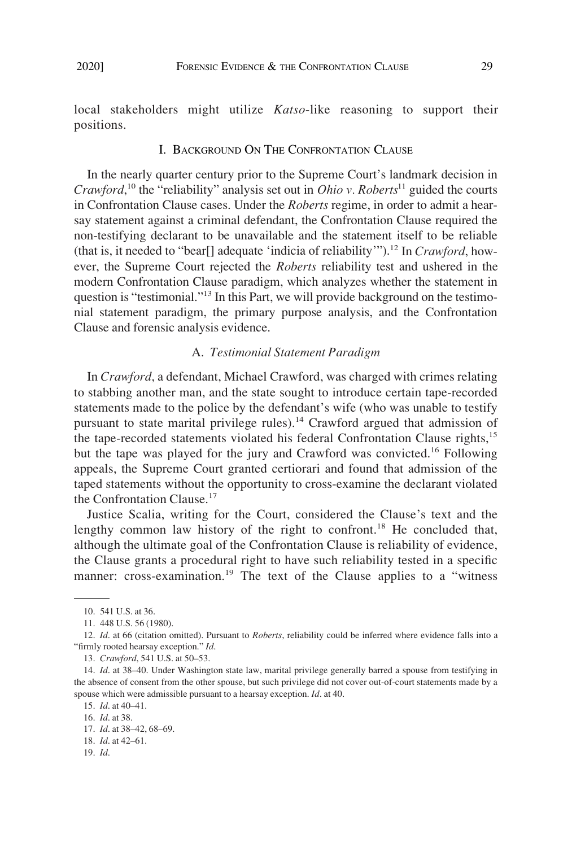#### I. BACKGROUND ON THE CONFRONTATION CLAUSE

In the nearly quarter century prior to the Supreme Court's landmark decision in *Crawford*, 10 the "reliability" analysis set out in *Ohio v. Roberts*<sup>11</sup> guided the courts in Confrontation Clause cases. Under the *Roberts* regime, in order to admit a hearsay statement against a criminal defendant, the Confrontation Clause required the non-testifying declarant to be unavailable and the statement itself to be reliable (that is, it needed to "bear<sup>[]</sup> adequate 'indicia of reliability'").<sup>12</sup> In *Crawford*, however, the Supreme Court rejected the *Roberts* reliability test and ushered in the modern Confrontation Clause paradigm, which analyzes whether the statement in question is "testimonial."<sup>13</sup> In this Part, we will provide background on the testimonial statement paradigm, the primary purpose analysis, and the Confrontation Clause and forensic analysis evidence.

### A. *Testimonial Statement Paradigm*

In *Crawford*, a defendant, Michael Crawford, was charged with crimes relating to stabbing another man, and the state sought to introduce certain tape-recorded statements made to the police by the defendant's wife (who was unable to testify pursuant to state marital privilege rules).<sup>14</sup> Crawford argued that admission of the tape-recorded statements violated his federal Confrontation Clause rights,<sup>15</sup> but the tape was played for the jury and Crawford was convicted.<sup>16</sup> Following appeals, the Supreme Court granted certiorari and found that admission of the taped statements without the opportunity to cross-examine the declarant violated the Confrontation Clause.<sup>17</sup>

Justice Scalia, writing for the Court, considered the Clause's text and the lengthy common law history of the right to confront.<sup>18</sup> He concluded that, although the ultimate goal of the Confrontation Clause is reliability of evidence, the Clause grants a procedural right to have such reliability tested in a specific manner: cross-examination.<sup>19</sup> The text of the Clause applies to a "witness"

<sup>10. 541</sup> U.S. at 36.

<sup>11. 448</sup> U.S. 56 (1980).

<sup>12.</sup> *Id*. at 66 (citation omitted). Pursuant to *Roberts*, reliability could be inferred where evidence falls into a "firmly rooted hearsay exception." *Id*.

<sup>13.</sup> *Crawford*, 541 U.S. at 50–53.

<sup>14.</sup> *Id*. at 38–40. Under Washington state law, marital privilege generally barred a spouse from testifying in the absence of consent from the other spouse, but such privilege did not cover out-of-court statements made by a spouse which were admissible pursuant to a hearsay exception. *Id*. at 40.

<sup>15.</sup> *Id*. at 40–41.

<sup>16.</sup> *Id*. at 38.

<sup>17.</sup> *Id*. at 38–42, 68–69.

<sup>18.</sup> *Id*. at 42–61.

<sup>19.</sup> *Id*.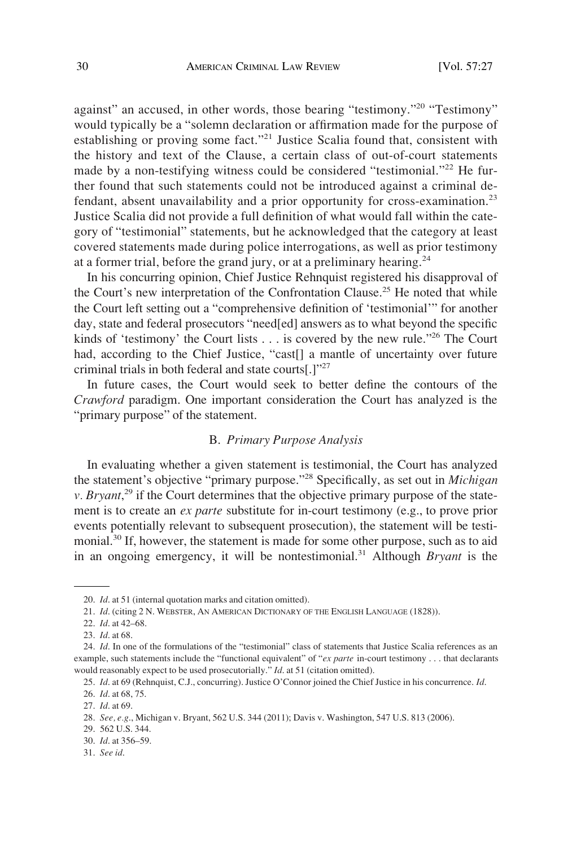against" an accused, in other words, those bearing "testimony."<sup>20</sup> "Testimony" would typically be a "solemn declaration or affirmation made for the purpose of establishing or proving some fact."<sup>21</sup> Justice Scalia found that, consistent with the history and text of the Clause, a certain class of out-of-court statements made by a non-testifying witness could be considered "testimonial."<sup>22</sup> He further found that such statements could not be introduced against a criminal defendant, absent unavailability and a prior opportunity for cross-examination.<sup>23</sup> Justice Scalia did not provide a full definition of what would fall within the category of "testimonial" statements, but he acknowledged that the category at least covered statements made during police interrogations, as well as prior testimony at a former trial, before the grand jury, or at a preliminary hearing.<sup>24</sup>

In his concurring opinion, Chief Justice Rehnquist registered his disapproval of the Court's new interpretation of the Confrontation Clause.<sup>25</sup> He noted that while the Court left setting out a "comprehensive definition of 'testimonial'" for another day, state and federal prosecutors "need[ed] answers as to what beyond the specific kinds of 'testimony' the Court lists . . . is covered by the new rule."26 The Court had, according to the Chief Justice, "cast[] a mantle of uncertainty over future criminal trials in both federal and state courts[.]"27

In future cases, the Court would seek to better define the contours of the *Crawford* paradigm. One important consideration the Court has analyzed is the "primary purpose" of the statement.

### B. *Primary Purpose Analysis*

In evaluating whether a given statement is testimonial, the Court has analyzed the statement's objective "primary purpose."28 Specifically, as set out in *Michigan v*. *Bryant*,<sup>29</sup> if the Court determines that the objective primary purpose of the statement is to create an *ex parte* substitute for in-court testimony (e.g., to prove prior events potentially relevant to subsequent prosecution), the statement will be testimonial.<sup>30</sup> If, however, the statement is made for some other purpose, such as to aid in an ongoing emergency, it will be nontestimonial.<sup>31</sup> Although *Bryant* is the

29. 562 U.S. 344.

31. *See id*.

<sup>20.</sup> *Id*. at 51 (internal quotation marks and citation omitted).

<sup>21.</sup> *Id*. (citing 2 N. WEBSTER, AN AMERICAN DICTIONARY OF THE ENGLISH LANGUAGE (1828)).

<sup>22.</sup> *Id*. at 42–68.

<sup>23.</sup> *Id*. at 68.

<sup>24.</sup> *Id*. In one of the formulations of the "testimonial" class of statements that Justice Scalia references as an example, such statements include the "functional equivalent" of "*ex parte* in-court testimony . . . that declarants would reasonably expect to be used prosecutorially." *Id*. at 51 (citation omitted).

<sup>25.</sup> *Id*. at 69 (Rehnquist, C.J., concurring). Justice O'Connor joined the Chief Justice in his concurrence. *Id*.

<sup>26.</sup> *Id*. at 68, 75.

<sup>27.</sup> *Id*. at 69.

<sup>28.</sup> *See, e.g*., Michigan v. Bryant, 562 U.S. 344 (2011); Davis v. Washington, 547 U.S. 813 (2006).

<sup>30.</sup> *Id*. at 356–59.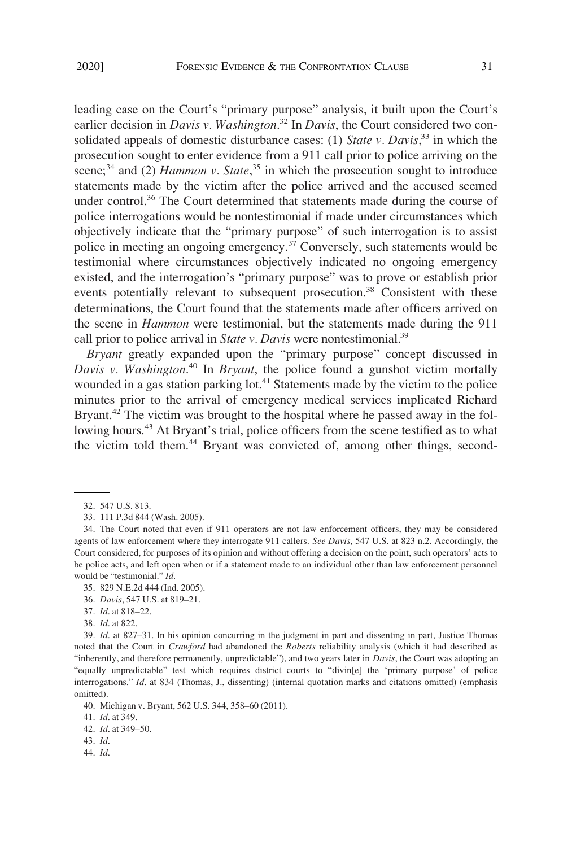leading case on the Court's "primary purpose" analysis, it built upon the Court's earlier decision in *Davis v. Washington*. <sup>32</sup> In *Davis*, the Court considered two consolidated appeals of domestic disturbance cases: (1) *State v. Davis*, <sup>33</sup> in which the prosecution sought to enter evidence from a 911 call prior to police arriving on the scene;<sup>34</sup> and (2) *Hammon v. State*,<sup>35</sup> in which the prosecution sought to introduce statements made by the victim after the police arrived and the accused seemed under control.<sup>36</sup> The Court determined that statements made during the course of police interrogations would be nontestimonial if made under circumstances which objectively indicate that the "primary purpose" of such interrogation is to assist police in meeting an ongoing emergency.<sup>37</sup> Conversely, such statements would be testimonial where circumstances objectively indicated no ongoing emergency existed, and the interrogation's "primary purpose" was to prove or establish prior events potentially relevant to subsequent prosecution.<sup>38</sup> Consistent with these determinations, the Court found that the statements made after officers arrived on the scene in *Hammon* were testimonial, but the statements made during the 911 call prior to police arrival in *State v. Davis* were nontestimonial.<sup>39</sup>

*Bryant* greatly expanded upon the "primary purpose" concept discussed in *Davis v. Washington*. 40 In *Bryant*, the police found a gunshot victim mortally wounded in a gas station parking lot.<sup>41</sup> Statements made by the victim to the police minutes prior to the arrival of emergency medical services implicated Richard Bryant.<sup>42</sup> The victim was brought to the hospital where he passed away in the following hours.<sup>43</sup> At Bryant's trial, police officers from the scene testified as to what the victim told them.<sup>44</sup> Bryant was convicted of, among other things, second-

- 37. *Id*. at 818–22.
- 38. *Id*. at 822.

39. *Id*. at 827–31. In his opinion concurring in the judgment in part and dissenting in part, Justice Thomas noted that the Court in *Crawford* had abandoned the *Roberts* reliability analysis (which it had described as "inherently, and therefore permanently, unpredictable"), and two years later in *Davis*, the Court was adopting an "equally unpredictable" test which requires district courts to "divin[e] the 'primary purpose' of police interrogations." *Id*. at 834 (Thomas, J., dissenting) (internal quotation marks and citations omitted) (emphasis omitted).

- 43. *Id*.
- 44. *Id*.

<sup>32. 547</sup> U.S. 813.

<sup>33. 111</sup> P.3d 844 (Wash. 2005).

<sup>34.</sup> The Court noted that even if 911 operators are not law enforcement officers, they may be considered agents of law enforcement where they interrogate 911 callers. *See Davis*, 547 U.S. at 823 n.2. Accordingly, the Court considered, for purposes of its opinion and without offering a decision on the point, such operators' acts to be police acts, and left open when or if a statement made to an individual other than law enforcement personnel would be "testimonial." *Id*.

<sup>35. 829</sup> N.E.2d 444 (Ind. 2005).

<sup>36.</sup> *Davis*, 547 U.S. at 819–21.

<sup>40.</sup> Michigan v. Bryant, 562 U.S. 344, 358–60 (2011).

<sup>41.</sup> *Id*. at 349.

<sup>42.</sup> *Id*. at 349–50.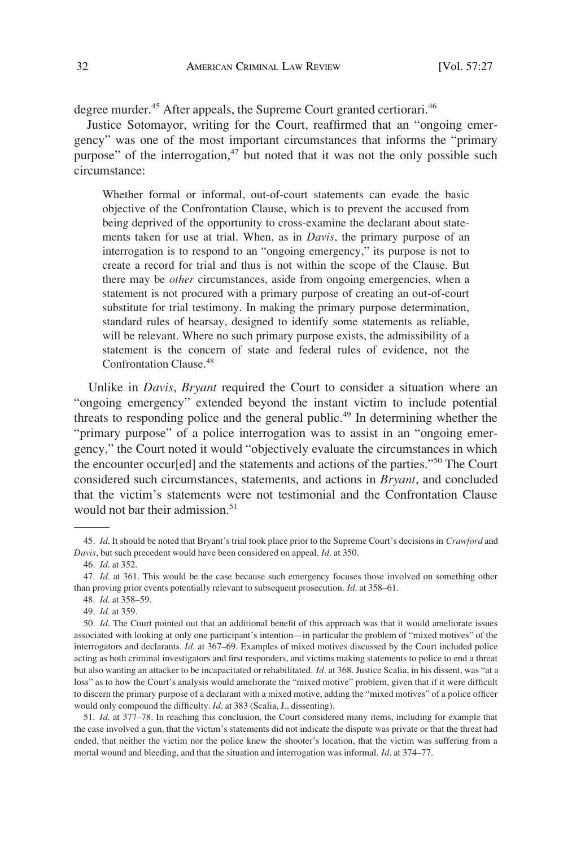degree murder.<sup>45</sup> After appeals, the Supreme Court granted certiorari.<sup>46</sup>

Justice Sotomayor, writing for the Court, reaffirmed that an "ongoing emergency" was one of the most important circumstances that informs the "primary purpose" of the interrogation, $47$  but noted that it was not the only possible such circumstance:

Whether formal or informal, out-of-court statements can evade the basic objective of the Confrontation Clause, which is to prevent the accused from being deprived of the opportunity to cross-examine the declarant about statements taken for use at trial. When, as in *Davis*, the primary purpose of an interrogation is to respond to an "ongoing emergency," its purpose is not to create a record for trial and thus is not within the scope of the Clause. But there may be *other* circumstances, aside from ongoing emergencies, when a statement is not procured with a primary purpose of creating an out-of-court substitute for trial testimony. In making the primary purpose determination, standard rules of hearsay, designed to identify some statements as reliable, will be relevant. Where no such primary purpose exists, the admissibility of a statement is the concern of state and federal rules of evidence, not the Confrontation Clause.<sup>48</sup>

Unlike in *Davis*, *Bryant* required the Court to consider a situation where an "ongoing emergency" extended beyond the instant victim to include potential threats to responding police and the general public.<sup>49</sup> In determining whether the "primary purpose" of a police interrogation was to assist in an "ongoing emergency," the Court noted it would "objectively evaluate the circumstances in which the encounter occur[ed] and the statements and actions of the parties."50 The Court considered such circumstances, statements, and actions in *Bryant*, and concluded that the victim's statements were not testimonial and the Confrontation Clause would not bar their admission.<sup>51</sup>

51. *Id*. at 377–78. In reaching this conclusion, the Court considered many items, including for example that the case involved a gun, that the victim's statements did not indicate the dispute was private or that the threat had ended, that neither the victim nor the police knew the shooter's location, that the victim was suffering from a mortal wound and bleeding, and that the situation and interrogation was informal. *Id*. at 374–77.

<sup>45.</sup> *Id*. It should be noted that Bryant's trial took place prior to the Supreme Court's decisions in *Crawford* and *Davis*, but such precedent would have been considered on appeal. *Id*. at 350.

<sup>46.</sup> *Id*. at 352.

<sup>47.</sup> *Id*. at 361. This would be the case because such emergency focuses those involved on something other than proving prior events potentially relevant to subsequent prosecution. *Id*. at 358–61.

<sup>48.</sup> *Id*. at 358–59.

<sup>49.</sup> *Id*. at 359.

<sup>50.</sup> *Id*. The Court pointed out that an additional benefit of this approach was that it would ameliorate issues associated with looking at only one participant's intention—in particular the problem of "mixed motives" of the interrogators and declarants. *Id*. at 367–69. Examples of mixed motives discussed by the Court included police acting as both criminal investigators and first responders, and victims making statements to police to end a threat but also wanting an attacker to be incapacitated or rehabilitated. *Id*. at 368. Justice Scalia, in his dissent, was "at a loss" as to how the Court's analysis would ameliorate the "mixed motive" problem, given that if it were difficult to discern the primary purpose of a declarant with a mixed motive, adding the "mixed motives" of a police officer would only compound the difficulty. *Id*. at 383 (Scalia, J., dissenting).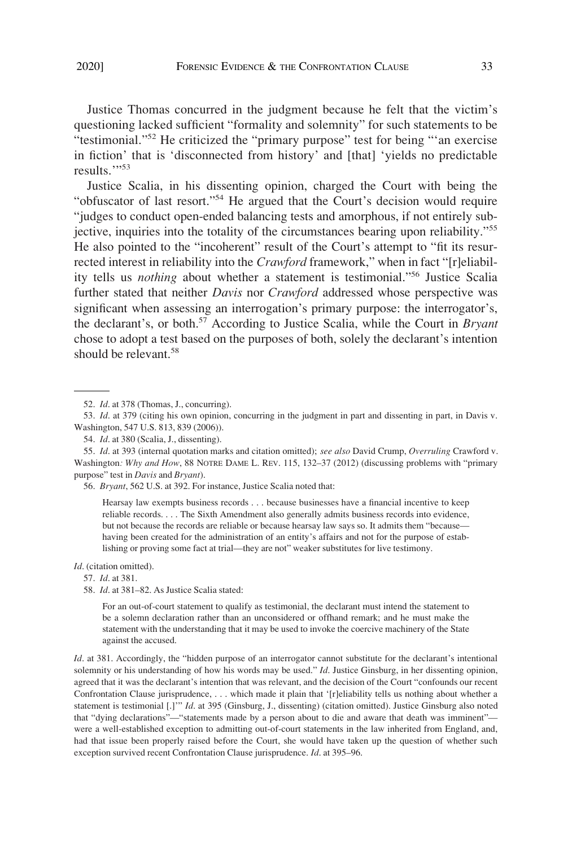Justice Thomas concurred in the judgment because he felt that the victim's questioning lacked sufficient "formality and solemnity" for such statements to be "testimonial."<sup>52</sup> He criticized the "primary purpose" test for being "'an exercise in fiction' that is 'disconnected from history' and [that] 'yields no predictable results."<sup>53</sup>

Justice Scalia, in his dissenting opinion, charged the Court with being the "obfuscator of last resort."54 He argued that the Court's decision would require "judges to conduct open-ended balancing tests and amorphous, if not entirely subjective, inquiries into the totality of the circumstances bearing upon reliability."<sup>55</sup> He also pointed to the "incoherent" result of the Court's attempt to "fit its resurrected interest in reliability into the *Crawford* framework," when in fact "[r]eliability tells us *nothing* about whether a statement is testimonial."56 Justice Scalia further stated that neither *Davis* nor *Crawford* addressed whose perspective was significant when assessing an interrogation's primary purpose: the interrogator's, the declarant's, or both.57 According to Justice Scalia, while the Court in *Bryant*  chose to adopt a test based on the purposes of both, solely the declarant's intention should be relevant.<sup>58</sup>

55. *Id*. at 393 (internal quotation marks and citation omitted); *see also* David Crump, *Overruling* Crawford v. Washington*: Why and How*, 88 NOTRE DAME L. REV. 115, 132–37 (2012) (discussing problems with "primary purpose" test in *Davis* and *Bryant*).

56. *Bryant*, 562 U.S. at 392. For instance, Justice Scalia noted that:

Hearsay law exempts business records . . . because businesses have a financial incentive to keep reliable records. . . . The Sixth Amendment also generally admits business records into evidence, but not because the records are reliable or because hearsay law says so. It admits them "because having been created for the administration of an entity's affairs and not for the purpose of establishing or proving some fact at trial—they are not" weaker substitutes for live testimony.

#### *Id*. (citation omitted).

57. *Id*. at 381.

For an out-of-court statement to qualify as testimonial, the declarant must intend the statement to be a solemn declaration rather than an unconsidered or offhand remark; and he must make the statement with the understanding that it may be used to invoke the coercive machinery of the State against the accused.

*Id.* at 381. Accordingly, the "hidden purpose of an interrogator cannot substitute for the declarant's intentional solemnity or his understanding of how his words may be used." *Id*. Justice Ginsburg, in her dissenting opinion, agreed that it was the declarant's intention that was relevant, and the decision of the Court "confounds our recent Confrontation Clause jurisprudence, . . . which made it plain that '[r]eliability tells us nothing about whether a statement is testimonial [.]'" *Id*. at 395 (Ginsburg, J., dissenting) (citation omitted). Justice Ginsburg also noted that "dying declarations"—"statements made by a person about to die and aware that death was imminent" were a well-established exception to admitting out-of-court statements in the law inherited from England, and, had that issue been properly raised before the Court, she would have taken up the question of whether such exception survived recent Confrontation Clause jurisprudence. *Id*. at 395–96.

<sup>52.</sup> *Id*. at 378 (Thomas, J., concurring).

<sup>53.</sup> *Id*. at 379 (citing his own opinion, concurring in the judgment in part and dissenting in part, in Davis v. Washington, 547 U.S. 813, 839 (2006)).

<sup>54.</sup> *Id*. at 380 (Scalia, J., dissenting).

<sup>58.</sup> *Id*. at 381–82. As Justice Scalia stated: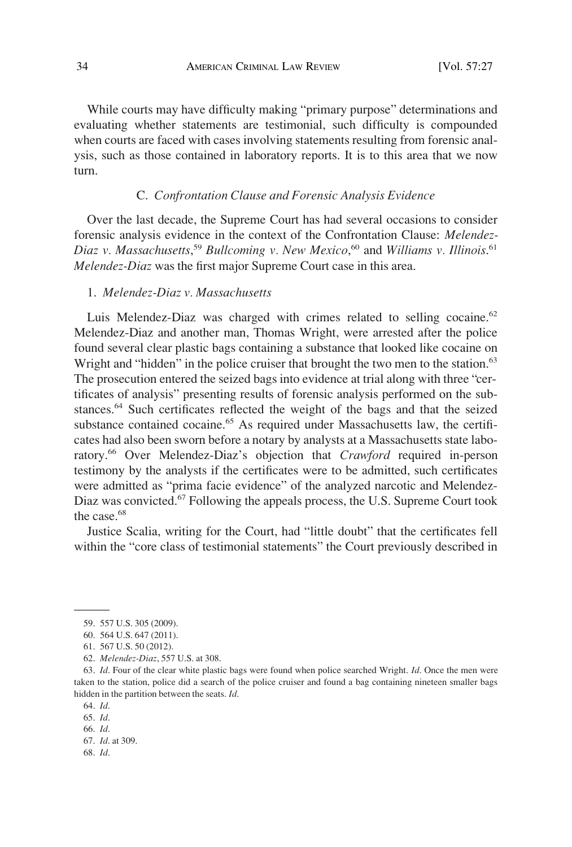While courts may have difficulty making "primary purpose" determinations and evaluating whether statements are testimonial, such difficulty is compounded when courts are faced with cases involving statements resulting from forensic analysis, such as those contained in laboratory reports. It is to this area that we now turn.

#### C. *Confrontation Clause and Forensic Analysis Evidence*

Over the last decade, the Supreme Court has had several occasions to consider forensic analysis evidence in the context of the Confrontation Clause: *Melendez-Diaz v. Massachusetts*, <sup>59</sup>*Bullcoming v. New Mexico*, 60 and *Williams v. Illinois*. 61 *Melendez-Diaz* was the first major Supreme Court case in this area.

### 1. *Melendez-Diaz v. Massachusetts*

Luis Melendez-Diaz was charged with crimes related to selling cocaine.<sup>62</sup> Melendez-Diaz and another man, Thomas Wright, were arrested after the police found several clear plastic bags containing a substance that looked like cocaine on Wright and "hidden" in the police cruiser that brought the two men to the station.<sup>63</sup> The prosecution entered the seized bags into evidence at trial along with three "certificates of analysis" presenting results of forensic analysis performed on the substances. 64 Such certificates reflected the weight of the bags and that the seized substance contained cocaine.<sup>65</sup> As required under Massachusetts law, the certificates had also been sworn before a notary by analysts at a Massachusetts state laboratory. 66 Over Melendez-Diaz's objection that *Crawford* required in-person testimony by the analysts if the certificates were to be admitted, such certificates were admitted as "prima facie evidence" of the analyzed narcotic and Melendez-Diaz was convicted.67 Following the appeals process, the U.S. Supreme Court took the case.<sup>68</sup>

Justice Scalia, writing for the Court, had "little doubt" that the certificates fell within the "core class of testimonial statements" the Court previously described in

<sup>59. 557</sup> U.S. 305 (2009).

<sup>60. 564</sup> U.S. 647 (2011).

<sup>61. 567</sup> U.S. 50 (2012).

<sup>62.</sup> *Melendez-Diaz*, 557 U.S. at 308.

<sup>63.</sup> *Id*. Four of the clear white plastic bags were found when police searched Wright. *Id*. Once the men were taken to the station, police did a search of the police cruiser and found a bag containing nineteen smaller bags hidden in the partition between the seats. *Id*.

<sup>64.</sup> *Id*.

<sup>65.</sup> *Id*. 66. *Id*.

<sup>67.</sup> *Id*. at 309.

<sup>68.</sup> *Id*.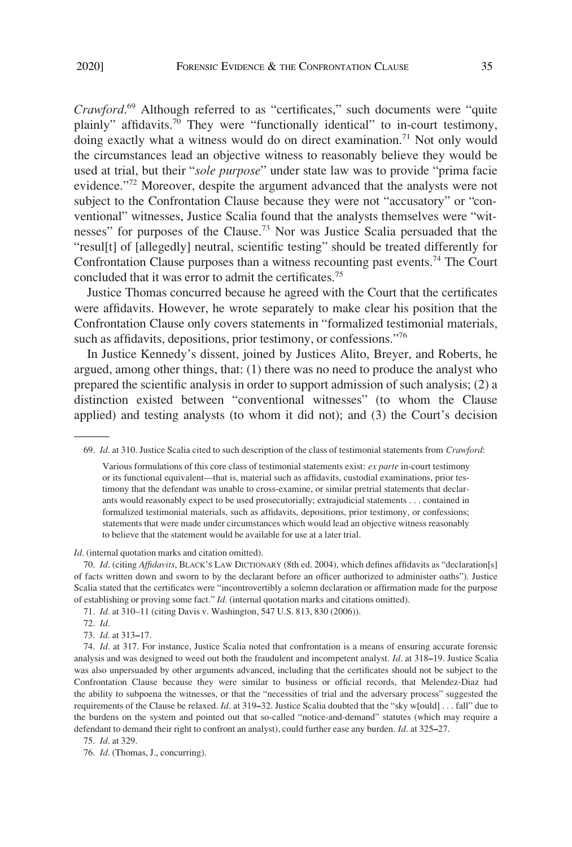*Crawford*. <sup>69</sup> Although referred to as "certificates," such documents were "quite plainly" affidavits.<sup>70</sup> They were "functionally identical" to in-court testimony, doing exactly what a witness would do on direct examination.<sup>71</sup> Not only would the circumstances lead an objective witness to reasonably believe they would be used at trial, but their "*sole purpose*" under state law was to provide "prima facie evidence."<sup>72</sup> Moreover, despite the argument advanced that the analysts were not subject to the Confrontation Clause because they were not "accusatory" or "conventional" witnesses, Justice Scalia found that the analysts themselves were "witnesses" for purposes of the Clause.73 Nor was Justice Scalia persuaded that the "resul[t] of [allegedly] neutral, scientific testing" should be treated differently for Confrontation Clause purposes than a witness recounting past events.<sup>74</sup> The Court concluded that it was error to admit the certificates.<sup>75</sup>

Justice Thomas concurred because he agreed with the Court that the certificates were affidavits. However, he wrote separately to make clear his position that the Confrontation Clause only covers statements in "formalized testimonial materials, such as affidavits, depositions, prior testimony, or confessions."76

In Justice Kennedy's dissent, joined by Justices Alito, Breyer, and Roberts, he argued, among other things, that: (1) there was no need to produce the analyst who prepared the scientific analysis in order to support admission of such analysis; (2) a distinction existed between "conventional witnesses" (to whom the Clause applied) and testing analysts (to whom it did not); and (3) the Court's decision

*Id*. (internal quotation marks and citation omitted).

70. *Id*. (citing *Affidavits*, BLACK'S LAW DICTIONARY (8th ed. 2004), which defines affidavits as "declaration[s] of facts written down and sworn to by the declarant before an officer authorized to administer oaths"). Justice Scalia stated that the certificates were "incontrovertibly a solemn declaration or affirmation made for the purpose of establishing or proving some fact." *Id*. (internal quotation marks and citations omitted).

71. *Id*. at 310–11 (citing Davis v. Washington, 547 U.S. 813, 830 (2006)).

72. *Id*.

73. *Id*. at 313**–**17.

74. *Id*. at 317. For instance, Justice Scalia noted that confrontation is a means of ensuring accurate forensic analysis and was designed to weed out both the fraudulent and incompetent analyst. *Id*. at 318**–**19. Justice Scalia was also unpersuaded by other arguments advanced, including that the certificates should not be subject to the Confrontation Clause because they were similar to business or official records, that Melendez-Diaz had the ability to subpoena the witnesses, or that the "necessities of trial and the adversary process" suggested the requirements of the Clause be relaxed. *Id*. at 319**–**32. Justice Scalia doubted that the "sky w[ould] . . . fall" due to the burdens on the system and pointed out that so-called "notice-and-demand" statutes (which may require a defendant to demand their right to confront an analyst), could further ease any burden. *Id*. at 325**–**27.

75. *Id*. at 329.

76. *Id*. (Thomas, J., concurring).

<sup>69.</sup> *Id*. at 310. Justice Scalia cited to such description of the class of testimonial statements from *Crawford*:

Various formulations of this core class of testimonial statements exist: *ex parte* in-court testimony or its functional equivalent—that is, material such as affidavits, custodial examinations, prior testimony that the defendant was unable to cross-examine, or similar pretrial statements that declarants would reasonably expect to be used prosecutorially; extrajudicial statements . . . contained in formalized testimonial materials, such as affidavits, depositions, prior testimony, or confessions; statements that were made under circumstances which would lead an objective witness reasonably to believe that the statement would be available for use at a later trial.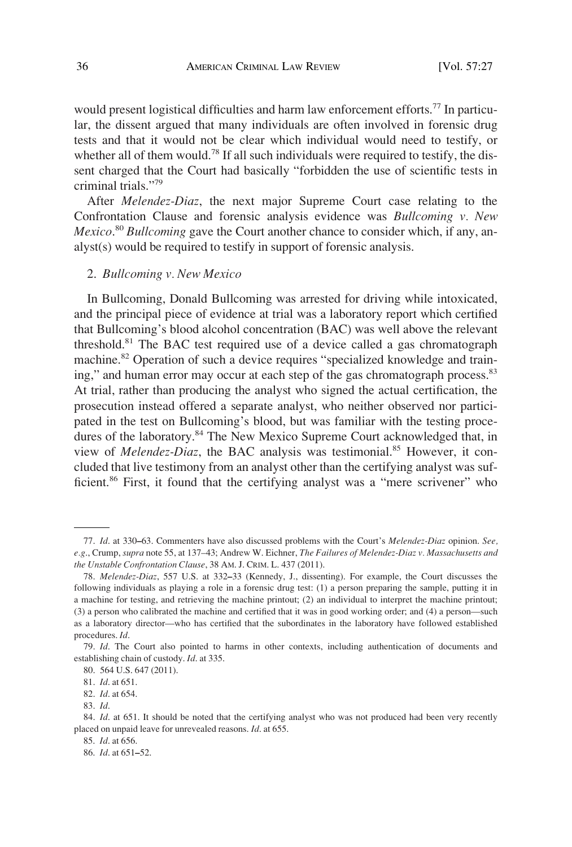would present logistical difficulties and harm law enforcement efforts.<sup>77</sup> In particular, the dissent argued that many individuals are often involved in forensic drug tests and that it would not be clear which individual would need to testify, or whether all of them would.<sup>78</sup> If all such individuals were required to testify, the dissent charged that the Court had basically "forbidden the use of scientific tests in criminal trials."79

After *Melendez-Diaz*, the next major Supreme Court case relating to the Confrontation Clause and forensic analysis evidence was *Bullcoming v. New Mexico*. <sup>80</sup> *Bullcoming* gave the Court another chance to consider which, if any, analyst(s) would be required to testify in support of forensic analysis.

#### 2. *Bullcoming v. New Mexico*

In Bullcoming, Donald Bullcoming was arrested for driving while intoxicated, and the principal piece of evidence at trial was a laboratory report which certified that Bullcoming's blood alcohol concentration (BAC) was well above the relevant threshold.<sup>81</sup> The BAC test required use of a device called a gas chromatograph machine.<sup>82</sup> Operation of such a device requires "specialized knowledge and training," and human error may occur at each step of the gas chromatograph process.<sup>83</sup> At trial, rather than producing the analyst who signed the actual certification, the prosecution instead offered a separate analyst, who neither observed nor participated in the test on Bullcoming's blood, but was familiar with the testing procedures of the laboratory.<sup>84</sup> The New Mexico Supreme Court acknowledged that, in view of *Melendez-Diaz*, the BAC analysis was testimonial.<sup>85</sup> However, it concluded that live testimony from an analyst other than the certifying analyst was sufficient.<sup>86</sup> First, it found that the certifying analyst was a "mere scrivener" who

<sup>77.</sup> *Id*. at 330**–**63. Commenters have also discussed problems with the Court's *Melendez-Diaz* opinion. *See, e.g*., Crump, *supra* note 55, at 137–43; Andrew W. Eichner, *The Failures of Melendez-Diaz v. Massachusetts and the Unstable Confrontation Clause*, 38 AM. J. CRIM. L. 437 (2011).

<sup>78.</sup> *Melendez-Diaz*, 557 U.S. at 332**–**33 (Kennedy, J., dissenting). For example, the Court discusses the following individuals as playing a role in a forensic drug test: (1) a person preparing the sample, putting it in a machine for testing, and retrieving the machine printout; (2) an individual to interpret the machine printout; (3) a person who calibrated the machine and certified that it was in good working order; and (4) a person—such as a laboratory director—who has certified that the subordinates in the laboratory have followed established procedures. *Id*.

<sup>79.</sup> *Id*. The Court also pointed to harms in other contexts, including authentication of documents and establishing chain of custody. *Id*. at 335.

<sup>80. 564</sup> U.S. 647 (2011).

<sup>81.</sup> *Id*. at 651.

<sup>82.</sup> *Id*. at 654.

<sup>83.</sup> *Id*.

<sup>84.</sup> *Id.* at 651. It should be noted that the certifying analyst who was not produced had been very recently placed on unpaid leave for unrevealed reasons. *Id*. at 655.

<sup>85.</sup> *Id*. at 656.

<sup>86.</sup> *Id*. at 651**–**52.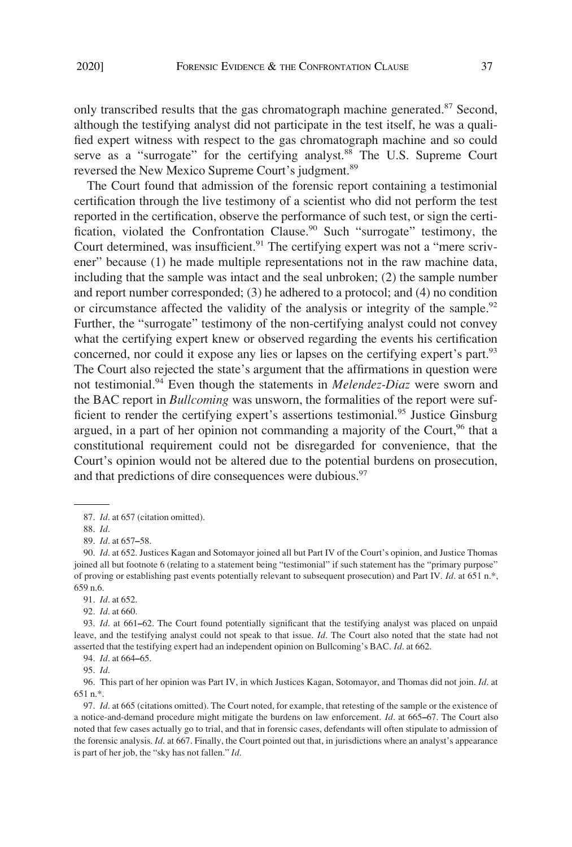only transcribed results that the gas chromatograph machine generated.<sup>87</sup> Second, although the testifying analyst did not participate in the test itself, he was a qualified expert witness with respect to the gas chromatograph machine and so could serve as a "surrogate" for the certifying analyst.<sup>88</sup> The U.S. Supreme Court reversed the New Mexico Supreme Court's judgment.<sup>89</sup>

The Court found that admission of the forensic report containing a testimonial certification through the live testimony of a scientist who did not perform the test reported in the certification, observe the performance of such test, or sign the certification, violated the Confrontation Clause.<sup>90</sup> Such "surrogate" testimony, the Court determined, was insufficient. $91$  The certifying expert was not a "mere scrivener" because (1) he made multiple representations not in the raw machine data, including that the sample was intact and the seal unbroken; (2) the sample number and report number corresponded; (3) he adhered to a protocol; and (4) no condition or circumstance affected the validity of the analysis or integrity of the sample.<sup>92</sup> Further, the "surrogate" testimony of the non-certifying analyst could not convey what the certifying expert knew or observed regarding the events his certification concerned, nor could it expose any lies or lapses on the certifying expert's part.<sup>93</sup> The Court also rejected the state's argument that the affirmations in question were not testimonial.94 Even though the statements in *Melendez-Diaz* were sworn and the BAC report in *Bullcoming* was unsworn, the formalities of the report were sufficient to render the certifying expert's assertions testimonial.<sup>95</sup> Justice Ginsburg argued, in a part of her opinion not commanding a majority of the Court,  $96$  that a constitutional requirement could not be disregarded for convenience, that the Court's opinion would not be altered due to the potential burdens on prosecution, and that predictions of dire consequences were dubious.<sup>97</sup>

96. This part of her opinion was Part IV, in which Justices Kagan, Sotomayor, and Thomas did not join. *Id*. at 651 n.\*.

<sup>87.</sup> *Id*. at 657 (citation omitted).

<sup>88.</sup> *Id*.

<sup>89.</sup> *Id*. at 657**–**58.

<sup>90.</sup> *Id*. at 652. Justices Kagan and Sotomayor joined all but Part IV of the Court's opinion, and Justice Thomas joined all but footnote 6 (relating to a statement being "testimonial" if such statement has the "primary purpose" of proving or establishing past events potentially relevant to subsequent prosecution) and Part IV. *Id*. at 651 n.\*, 659 n.6.

<sup>91.</sup> *Id*. at 652.

<sup>92.</sup> *Id*. at 660.

<sup>93.</sup> *Id*. at 661**–**62. The Court found potentially significant that the testifying analyst was placed on unpaid leave, and the testifying analyst could not speak to that issue. *Id*. The Court also noted that the state had not asserted that the testifying expert had an independent opinion on Bullcoming's BAC. *Id*. at 662.

<sup>94.</sup> *Id*. at 664**–**65.

<sup>95.</sup> *Id*.

<sup>97.</sup> *Id*. at 665 (citations omitted). The Court noted, for example, that retesting of the sample or the existence of a notice-and-demand procedure might mitigate the burdens on law enforcement. *Id*. at 665**–**67. The Court also noted that few cases actually go to trial, and that in forensic cases, defendants will often stipulate to admission of the forensic analysis. *Id*. at 667. Finally, the Court pointed out that, in jurisdictions where an analyst's appearance is part of her job, the "sky has not fallen." *Id*.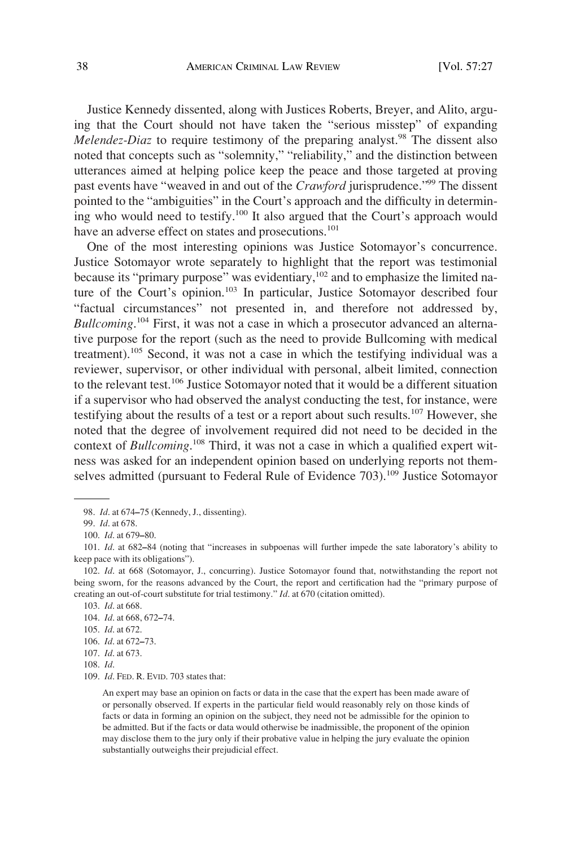Justice Kennedy dissented, along with Justices Roberts, Breyer, and Alito, arguing that the Court should not have taken the "serious misstep" of expanding *Melendez-Diaz* to require testimony of the preparing analyst.<sup>98</sup> The dissent also noted that concepts such as "solemnity," "reliability," and the distinction between utterances aimed at helping police keep the peace and those targeted at proving past events have "weaved in and out of the *Crawford* jurisprudence."99 The dissent pointed to the "ambiguities" in the Court's approach and the difficulty in determining who would need to testify.<sup>100</sup> It also argued that the Court's approach would have an adverse effect on states and prosecutions.<sup>101</sup>

One of the most interesting opinions was Justice Sotomayor's concurrence. Justice Sotomayor wrote separately to highlight that the report was testimonial because its "primary purpose" was evidentiary,<sup>102</sup> and to emphasize the limited nature of the Court's opinion.<sup>103</sup> In particular, Justice Sotomayor described four "factual circumstances" not presented in, and therefore not addressed by, *Bullcoming*. 104 First, it was not a case in which a prosecutor advanced an alternative purpose for the report (such as the need to provide Bullcoming with medical treatment).105 Second, it was not a case in which the testifying individual was a reviewer, supervisor, or other individual with personal, albeit limited, connection to the relevant test.106 Justice Sotomayor noted that it would be a different situation if a supervisor who had observed the analyst conducting the test, for instance, were testifying about the results of a test or a report about such results.<sup>107</sup> However, she noted that the degree of involvement required did not need to be decided in the context of *Bullcoming*. 108 Third, it was not a case in which a qualified expert witness was asked for an independent opinion based on underlying reports not themselves admitted (pursuant to Federal Rule of Evidence 703).<sup>109</sup> Justice Sotomayor

<sup>98.</sup> *Id*. at 674**–**75 (Kennedy, J., dissenting).

<sup>99.</sup> *Id*. at 678.

<sup>100.</sup> *Id*. at 679**–**80.

<sup>101.</sup> *Id*. at 682**–**84 (noting that "increases in subpoenas will further impede the sate laboratory's ability to keep pace with its obligations").

<sup>102.</sup> *Id*. at 668 (Sotomayor, J., concurring). Justice Sotomayor found that, notwithstanding the report not being sworn, for the reasons advanced by the Court, the report and certification had the "primary purpose of creating an out-of-court substitute for trial testimony." *Id*. at 670 (citation omitted).

<sup>103.</sup> *Id*. at 668.

<sup>104.</sup> *Id*. at 668, 672**–**74.

<sup>105.</sup> *Id*. at 672.

<sup>106.</sup> *Id*. at 672**–**73.

<sup>107.</sup> *Id*. at 673.

<sup>108.</sup> *Id*.

<sup>109.</sup> *Id*. FED. R. EVID. 703 states that:

An expert may base an opinion on facts or data in the case that the expert has been made aware of or personally observed. If experts in the particular field would reasonably rely on those kinds of facts or data in forming an opinion on the subject, they need not be admissible for the opinion to be admitted. But if the facts or data would otherwise be inadmissible, the proponent of the opinion may disclose them to the jury only if their probative value in helping the jury evaluate the opinion substantially outweighs their prejudicial effect.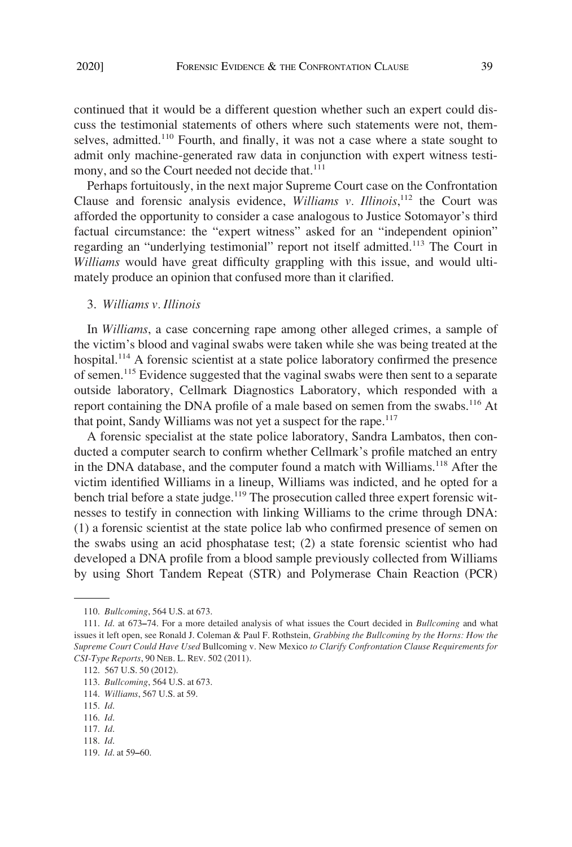continued that it would be a different question whether such an expert could discuss the testimonial statements of others where such statements were not, themselves, admitted.<sup>110</sup> Fourth, and finally, it was not a case where a state sought to admit only machine-generated raw data in conjunction with expert witness testimony, and so the Court needed not decide that.<sup>111</sup>

Perhaps fortuitously, in the next major Supreme Court case on the Confrontation Clause and forensic analysis evidence, *Williams v. Illinois*,<sup>112</sup> the Court was afforded the opportunity to consider a case analogous to Justice Sotomayor's third factual circumstance: the "expert witness" asked for an "independent opinion" regarding an "underlying testimonial" report not itself admitted.<sup>113</sup> The Court in *Williams* would have great difficulty grappling with this issue, and would ultimately produce an opinion that confused more than it clarified.

#### 3. *Williams v. Illinois*

In *Williams*, a case concerning rape among other alleged crimes, a sample of the victim's blood and vaginal swabs were taken while she was being treated at the hospital.<sup>114</sup> A forensic scientist at a state police laboratory confirmed the presence of semen.<sup>115</sup> Evidence suggested that the vaginal swabs were then sent to a separate outside laboratory, Cellmark Diagnostics Laboratory, which responded with a report containing the DNA profile of a male based on semen from the swabs.<sup>116</sup> At that point, Sandy Williams was not yet a suspect for the rape.<sup>117</sup>

A forensic specialist at the state police laboratory, Sandra Lambatos, then conducted a computer search to confirm whether Cellmark's profile matched an entry in the DNA database, and the computer found a match with Williams.<sup>118</sup> After the victim identified Williams in a lineup, Williams was indicted, and he opted for a bench trial before a state judge.<sup>119</sup> The prosecution called three expert forensic witnesses to testify in connection with linking Williams to the crime through DNA: (1) a forensic scientist at the state police lab who confirmed presence of semen on the swabs using an acid phosphatase test; (2) a state forensic scientist who had developed a DNA profile from a blood sample previously collected from Williams by using Short Tandem Repeat (STR) and Polymerase Chain Reaction (PCR)

<sup>110.</sup> *Bullcoming*, 564 U.S. at 673.

<sup>111.</sup> *Id*. at 673**–**74. For a more detailed analysis of what issues the Court decided in *Bullcoming* and what issues it left open, see Ronald J. Coleman & Paul F. Rothstein, *Grabbing the Bullcoming by the Horns: How the Supreme Court Could Have Used* Bullcoming v. New Mexico *to Clarify Confrontation Clause Requirements for CSI-Type Reports*, 90 NEB. L. REV. 502 (2011).

<sup>112. 567</sup> U.S. 50 (2012).

<sup>113.</sup> *Bullcoming*, 564 U.S. at 673.

<sup>114.</sup> *Williams*, 567 U.S. at 59.

<sup>115.</sup> *Id*.

<sup>116.</sup> *Id*.

<sup>117.</sup> *Id*.

<sup>118.</sup> *Id*.

<sup>119.</sup> *Id*. at 59**–**60.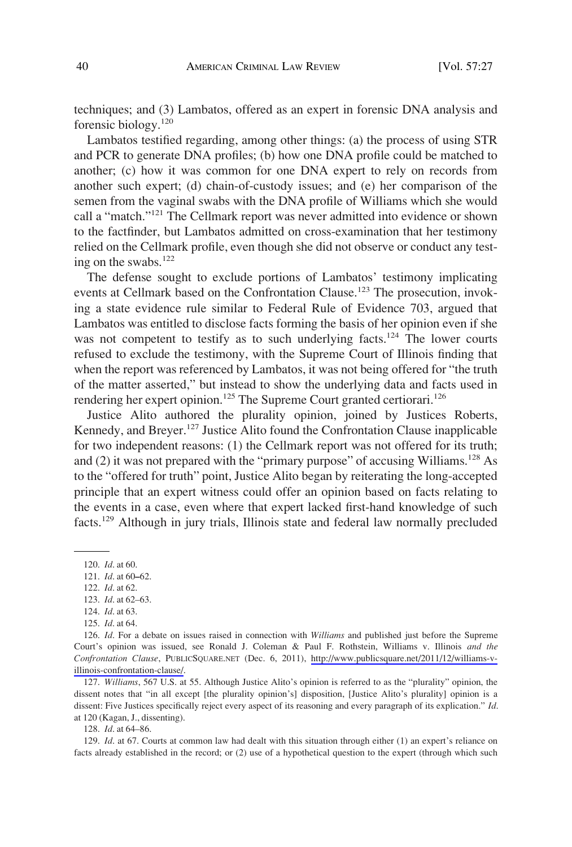techniques; and (3) Lambatos, offered as an expert in forensic DNA analysis and forensic biology.120

Lambatos testified regarding, among other things: (a) the process of using STR and PCR to generate DNA profiles; (b) how one DNA profile could be matched to another; (c) how it was common for one DNA expert to rely on records from another such expert; (d) chain-of-custody issues; and (e) her comparison of the semen from the vaginal swabs with the DNA profile of Williams which she would call a "match."121 The Cellmark report was never admitted into evidence or shown to the factfinder, but Lambatos admitted on cross-examination that her testimony relied on the Cellmark profile, even though she did not observe or conduct any testing on the swabs. $^{122}$ 

The defense sought to exclude portions of Lambatos' testimony implicating events at Cellmark based on the Confrontation Clause.<sup>123</sup> The prosecution, invoking a state evidence rule similar to Federal Rule of Evidence 703, argued that Lambatos was entitled to disclose facts forming the basis of her opinion even if she was not competent to testify as to such underlying facts.<sup>124</sup> The lower courts refused to exclude the testimony, with the Supreme Court of Illinois finding that when the report was referenced by Lambatos, it was not being offered for "the truth of the matter asserted," but instead to show the underlying data and facts used in rendering her expert opinion.<sup>125</sup> The Supreme Court granted certiorari.<sup>126</sup>

Justice Alito authored the plurality opinion, joined by Justices Roberts, Kennedy, and Breyer.<sup>127</sup> Justice Alito found the Confrontation Clause inapplicable for two independent reasons: (1) the Cellmark report was not offered for its truth; and (2) it was not prepared with the "primary purpose" of accusing Williams.<sup>128</sup> As to the "offered for truth" point, Justice Alito began by reiterating the long-accepted principle that an expert witness could offer an opinion based on facts relating to the events in a case, even where that expert lacked first-hand knowledge of such facts.129 Although in jury trials, Illinois state and federal law normally precluded

127. *Williams*, 567 U.S. at 55. Although Justice Alito's opinion is referred to as the "plurality" opinion, the dissent notes that "in all except [the plurality opinion's] disposition, [Justice Alito's plurality] opinion is a dissent: Five Justices specifically reject every aspect of its reasoning and every paragraph of its explication." *Id*. at 120 (Kagan, J., dissenting).

128. *Id*. at 64–86.

129. *Id*. at 67. Courts at common law had dealt with this situation through either (1) an expert's reliance on facts already established in the record; or (2) use of a hypothetical question to the expert (through which such

<sup>120.</sup> *Id*. at 60.

<sup>121.</sup> *Id*. at 60**–**62.

<sup>122.</sup> *Id*. at 62.

<sup>123.</sup> *Id*. at 62–63.

<sup>124.</sup> *Id*. at 63.

<sup>125.</sup> *Id*. at 64.

<sup>126.</sup> *Id*. For a debate on issues raised in connection with *Williams* and published just before the Supreme Court's opinion was issued, see Ronald J. Coleman & Paul F. Rothstein, Williams v. Illinois *and the Confrontation Clause*, PUBLICSQUARE.NET (Dec. 6, 2011), [http://www.publicsquare.net/2011/12/williams-v](http://www.publicsquare.net/2011/12/williams-v-illinois-confrontation-clause/)[illinois-confrontation-clause/.](http://www.publicsquare.net/2011/12/williams-v-illinois-confrontation-clause/)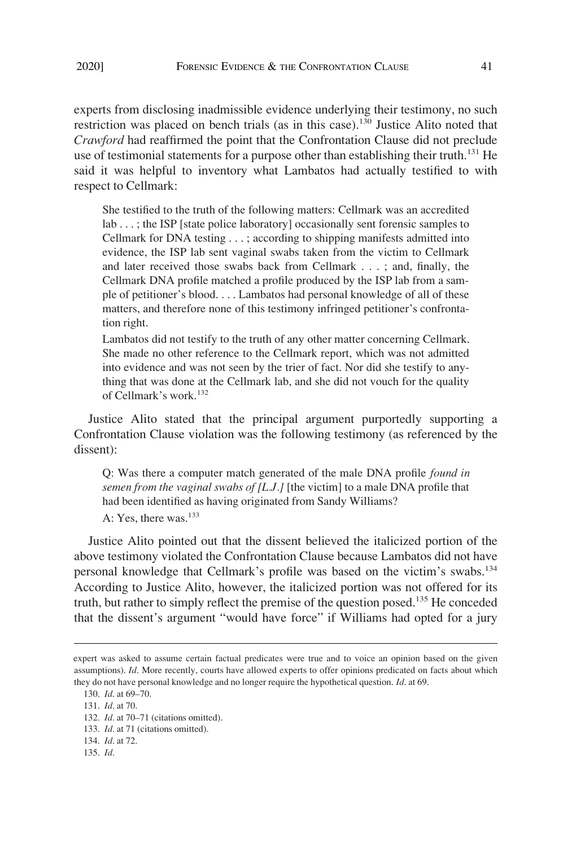experts from disclosing inadmissible evidence underlying their testimony, no such restriction was placed on bench trials (as in this case).130 Justice Alito noted that *Crawford* had reaffirmed the point that the Confrontation Clause did not preclude use of testimonial statements for a purpose other than establishing their truth.<sup>131</sup> He said it was helpful to inventory what Lambatos had actually testified to with respect to Cellmark:

She testified to the truth of the following matters: Cellmark was an accredited lab . . . ; the ISP [state police laboratory] occasionally sent forensic samples to Cellmark for DNA testing . . . ; according to shipping manifests admitted into evidence, the ISP lab sent vaginal swabs taken from the victim to Cellmark and later received those swabs back from Cellmark . . . ; and, finally, the Cellmark DNA profile matched a profile produced by the ISP lab from a sample of petitioner's blood. . . . Lambatos had personal knowledge of all of these matters, and therefore none of this testimony infringed petitioner's confrontation right.

Lambatos did not testify to the truth of any other matter concerning Cellmark. She made no other reference to the Cellmark report, which was not admitted into evidence and was not seen by the trier of fact. Nor did she testify to anything that was done at the Cellmark lab, and she did not vouch for the quality of Cellmark's work.<sup>132</sup>

Justice Alito stated that the principal argument purportedly supporting a Confrontation Clause violation was the following testimony (as referenced by the dissent):

Q: Was there a computer match generated of the male DNA profile *found in semen from the vaginal swabs of [L.J.]* [the victim] to a male DNA profile that had been identified as having originated from Sandy Williams?  $A \cdot Yes$  there was  $^{133}$ 

Justice Alito pointed out that the dissent believed the italicized portion of the above testimony violated the Confrontation Clause because Lambatos did not have personal knowledge that Cellmark's profile was based on the victim's swabs.<sup>134</sup> According to Justice Alito, however, the italicized portion was not offered for its truth, but rather to simply reflect the premise of the question posed.135 He conceded that the dissent's argument "would have force" if Williams had opted for a jury

expert was asked to assume certain factual predicates were true and to voice an opinion based on the given assumptions). *Id*. More recently, courts have allowed experts to offer opinions predicated on facts about which they do not have personal knowledge and no longer require the hypothetical question. *Id*. at 69.

<sup>130.</sup> *Id*. at 69–70.

<sup>131.</sup> *Id*. at 70.

<sup>132.</sup> *Id*. at 70–71 (citations omitted).

<sup>133.</sup> *Id*. at 71 (citations omitted).

<sup>134.</sup> *Id*. at 72.

<sup>135.</sup> *Id*.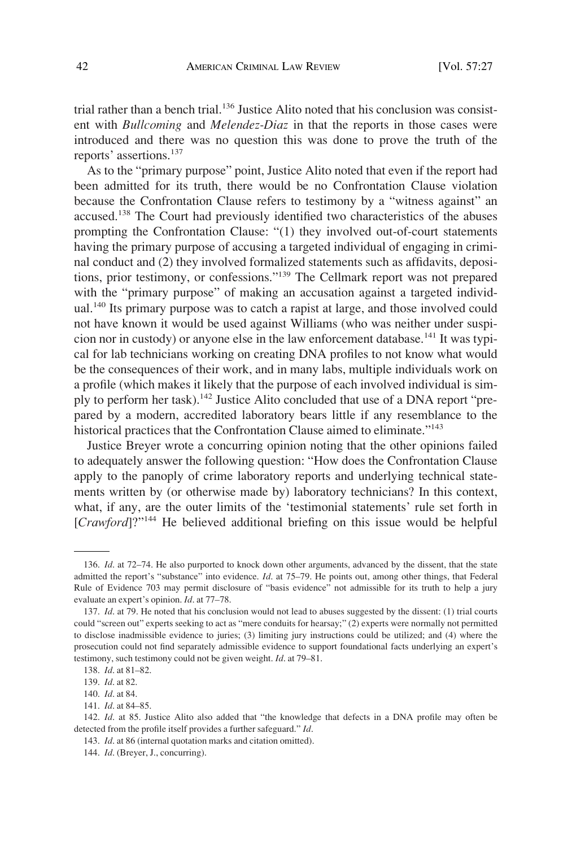trial rather than a bench trial.<sup>136</sup> Justice Alito noted that his conclusion was consistent with *Bullcoming* and *Melendez-Diaz* in that the reports in those cases were introduced and there was no question this was done to prove the truth of the reports' assertions.137

As to the "primary purpose" point, Justice Alito noted that even if the report had been admitted for its truth, there would be no Confrontation Clause violation because the Confrontation Clause refers to testimony by a "witness against" an accused.138 The Court had previously identified two characteristics of the abuses prompting the Confrontation Clause: "(1) they involved out-of-court statements having the primary purpose of accusing a targeted individual of engaging in criminal conduct and (2) they involved formalized statements such as affidavits, depositions, prior testimony, or confessions."<sup>139</sup> The Cellmark report was not prepared with the "primary purpose" of making an accusation against a targeted individual.<sup>140</sup> Its primary purpose was to catch a rapist at large, and those involved could not have known it would be used against Williams (who was neither under suspicion nor in custody) or anyone else in the law enforcement database.<sup>141</sup> It was typical for lab technicians working on creating DNA profiles to not know what would be the consequences of their work, and in many labs, multiple individuals work on a profile (which makes it likely that the purpose of each involved individual is simply to perform her task).<sup>142</sup> Justice Alito concluded that use of a DNA report "prepared by a modern, accredited laboratory bears little if any resemblance to the historical practices that the Confrontation Clause aimed to eliminate."<sup>143</sup>

Justice Breyer wrote a concurring opinion noting that the other opinions failed to adequately answer the following question: "How does the Confrontation Clause apply to the panoply of crime laboratory reports and underlying technical statements written by (or otherwise made by) laboratory technicians? In this context, what, if any, are the outer limits of the 'testimonial statements' rule set forth in [*Crawford*]?"144 He believed additional briefing on this issue would be helpful

<sup>136.</sup> *Id*. at 72–74. He also purported to knock down other arguments, advanced by the dissent, that the state admitted the report's "substance" into evidence. *Id*. at 75–79. He points out, among other things, that Federal Rule of Evidence 703 may permit disclosure of "basis evidence" not admissible for its truth to help a jury evaluate an expert's opinion. *Id*. at 77–78.

<sup>137.</sup> *Id*. at 79. He noted that his conclusion would not lead to abuses suggested by the dissent: (1) trial courts could "screen out" experts seeking to act as "mere conduits for hearsay;" (2) experts were normally not permitted to disclose inadmissible evidence to juries; (3) limiting jury instructions could be utilized; and (4) where the prosecution could not find separately admissible evidence to support foundational facts underlying an expert's testimony, such testimony could not be given weight. *Id*. at 79–81.

<sup>138.</sup> *Id*. at 81–82.

<sup>139.</sup> *Id*. at 82.

<sup>140.</sup> *Id*. at 84.

<sup>141.</sup> *Id*. at 84–85.

<sup>142.</sup> *Id*. at 85. Justice Alito also added that "the knowledge that defects in a DNA profile may often be detected from the profile itself provides a further safeguard." *Id*.

<sup>143.</sup> *Id*. at 86 (internal quotation marks and citation omitted).

<sup>144.</sup> *Id*. (Breyer, J., concurring).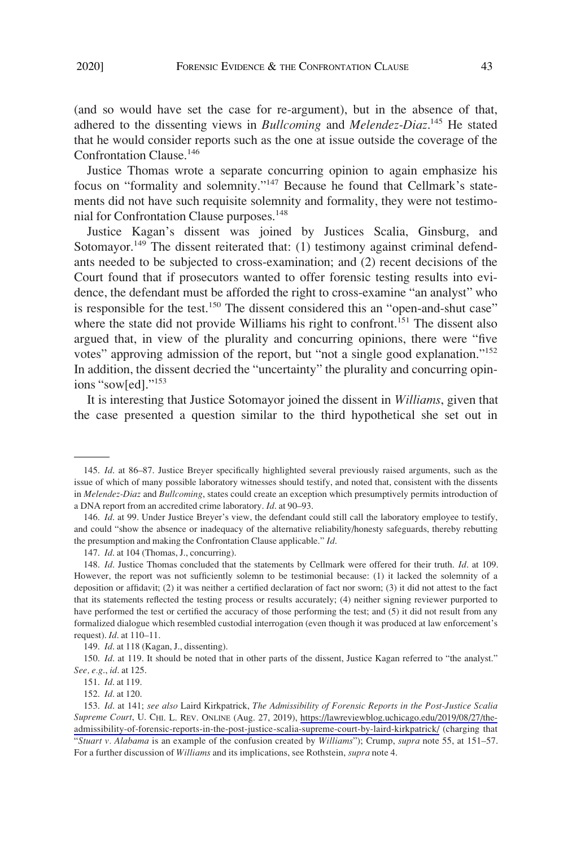(and so would have set the case for re-argument), but in the absence of that, adhered to the dissenting views in *Bullcoming* and *Melendez-Diaz*. <sup>145</sup> He stated that he would consider reports such as the one at issue outside the coverage of the Confrontation Clause.<sup>146</sup>

Justice Thomas wrote a separate concurring opinion to again emphasize his focus on "formality and solemnity."147 Because he found that Cellmark's statements did not have such requisite solemnity and formality, they were not testimonial for Confrontation Clause purposes.<sup>148</sup>

Justice Kagan's dissent was joined by Justices Scalia, Ginsburg, and Sotomayor.<sup>149</sup> The dissent reiterated that: (1) testimony against criminal defendants needed to be subjected to cross-examination; and (2) recent decisions of the Court found that if prosecutors wanted to offer forensic testing results into evidence, the defendant must be afforded the right to cross-examine "an analyst" who is responsible for the test.<sup>150</sup> The dissent considered this an "open-and-shut case" where the state did not provide Williams his right to confront.<sup>151</sup> The dissent also argued that, in view of the plurality and concurring opinions, there were "five votes" approving admission of the report, but "not a single good explanation."152 In addition, the dissent decried the "uncertainty" the plurality and concurring opinions "sow[ed]."<sup>153</sup>

It is interesting that Justice Sotomayor joined the dissent in *Williams*, given that the case presented a question similar to the third hypothetical she set out in

<sup>145.</sup> *Id*. at 86–87. Justice Breyer specifically highlighted several previously raised arguments, such as the issue of which of many possible laboratory witnesses should testify, and noted that, consistent with the dissents in *Melendez-Diaz* and *Bullcoming*, states could create an exception which presumptively permits introduction of a DNA report from an accredited crime laboratory. *Id*. at 90–93.

<sup>146.</sup> *Id*. at 99. Under Justice Breyer's view, the defendant could still call the laboratory employee to testify, and could "show the absence or inadequacy of the alternative reliability/honesty safeguards, thereby rebutting the presumption and making the Confrontation Clause applicable." *Id*.

<sup>147.</sup> *Id*. at 104 (Thomas, J., concurring).

<sup>148.</sup> *Id*. Justice Thomas concluded that the statements by Cellmark were offered for their truth. *Id*. at 109. However, the report was not sufficiently solemn to be testimonial because: (1) it lacked the solemnity of a deposition or affidavit; (2) it was neither a certified declaration of fact nor sworn; (3) it did not attest to the fact that its statements reflected the testing process or results accurately; (4) neither signing reviewer purported to have performed the test or certified the accuracy of those performing the test; and (5) it did not result from any formalized dialogue which resembled custodial interrogation (even though it was produced at law enforcement's request). *Id*. at 110–11.

<sup>149.</sup> *Id*. at 118 (Kagan, J., dissenting).

<sup>150.</sup> *Id.* at 119. It should be noted that in other parts of the dissent, Justice Kagan referred to "the analyst." *See, e.g*., *id*. at 125.

<sup>151.</sup> *Id*. at 119.

<sup>152.</sup> *Id*. at 120.

*Id*. at 141; *see also* Laird Kirkpatrick, *The Admissibility of Forensic Reports in the Post-Justice Scalia*  153. *Supreme Court*, U. CHI. L. REV. ONLINE (Aug. 27, 2019), [https://lawreviewblog.uchicago.edu/2019/08/27/the](https://lawreviewblog.uchicago.edu/2019/08/27/the-admissibility-of-forensic-reports-in-the-post-justice-scalia-supreme-court-by-laird-kirkpatrick/)[admissibility-of-forensic-reports-in-the-post-justice-scalia-supreme-court-by-laird-kirkpatrick/](https://lawreviewblog.uchicago.edu/2019/08/27/the-admissibility-of-forensic-reports-in-the-post-justice-scalia-supreme-court-by-laird-kirkpatrick/) (charging that "*Stuart v. Alabama* is an example of the confusion created by *Williams*"); Crump, *supra* note 55, at 151–57. For a further discussion of *Williams* and its implications, see Rothstein, *supra* note 4.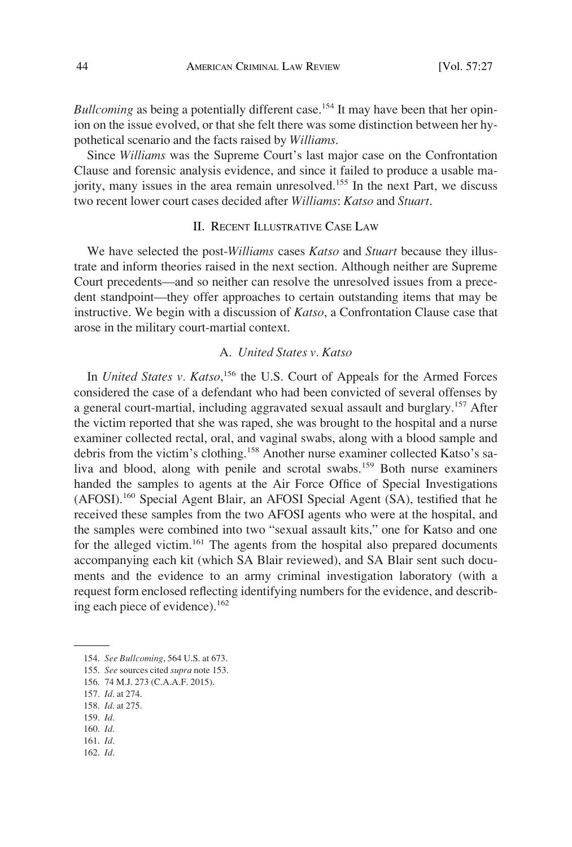*Bullcoming* as being a potentially different case.<sup>154</sup> It may have been that her opinion on the issue evolved, or that she felt there was some distinction between her hypothetical scenario and the facts raised by *Williams*.

Since *Williams* was the Supreme Court's last major case on the Confrontation Clause and forensic analysis evidence, and since it failed to produce a usable majority, many issues in the area remain unresolved.<sup>155</sup> In the next Part, we discuss two recent lower court cases decided after *Williams*: *Katso* and *Stuart*.

## II. RECENT ILLUSTRATIVE CASE LAW

We have selected the post-*Williams* cases *Katso* and *Stuart* because they illustrate and inform theories raised in the next section. Although neither are Supreme Court precedents—and so neither can resolve the unresolved issues from a precedent standpoint—they offer approaches to certain outstanding items that may be instructive. We begin with a discussion of *Katso*, a Confrontation Clause case that arose in the military court-martial context.

### A. *United States v. Katso*

In *United States v. Katso*,<sup>156</sup> the U.S. Court of Appeals for the Armed Forces considered the case of a defendant who had been convicted of several offenses by a general court-martial, including aggravated sexual assault and burglary.<sup>157</sup> After the victim reported that she was raped, she was brought to the hospital and a nurse examiner collected rectal, oral, and vaginal swabs, along with a blood sample and debris from the victim's clothing.158 Another nurse examiner collected Katso's saliva and blood, along with penile and scrotal swabs.<sup>159</sup> Both nurse examiners handed the samples to agents at the Air Force Office of Special Investigations (AFOSI).160 Special Agent Blair, an AFOSI Special Agent (SA), testified that he received these samples from the two AFOSI agents who were at the hospital, and the samples were combined into two "sexual assault kits," one for Katso and one for the alleged victim.<sup>161</sup> The agents from the hospital also prepared documents accompanying each kit (which SA Blair reviewed), and SA Blair sent such documents and the evidence to an army criminal investigation laboratory (with a request form enclosed reflecting identifying numbers for the evidence, and describing each piece of evidence).<sup>162</sup>

- 155. *See* sources cited *supra* note 153.
- 156. 74 M.J. 273 (C.A.A.F. 2015).
- 157. *Id*. at 274.
- 158. *Id*. at 275.
- 159. *Id*. 160. *Id*.
- 161. *Id*.
- 162. *Id*.

<sup>154.</sup> *See Bullcoming*, 564 U.S. at 673.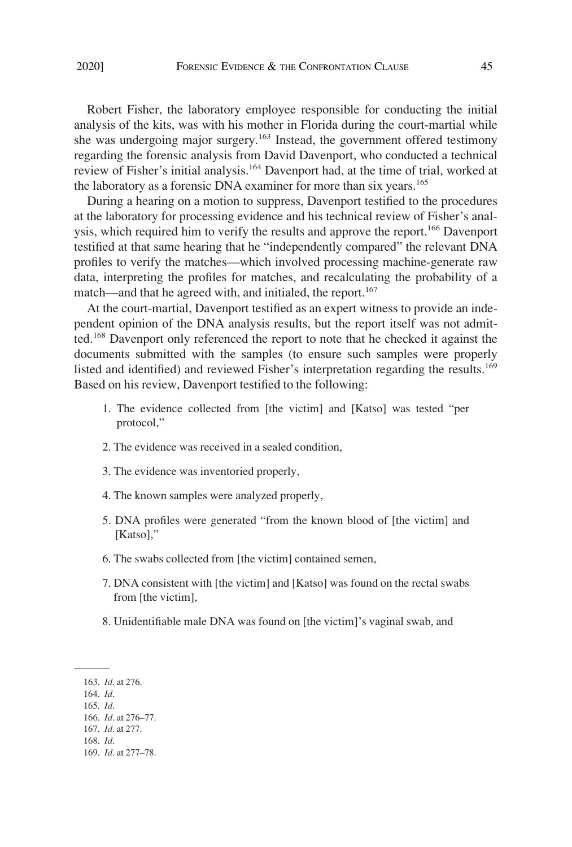Robert Fisher, the laboratory employee responsible for conducting the initial analysis of the kits, was with his mother in Florida during the court-martial while she was undergoing major surgery.<sup>163</sup> Instead, the government offered testimony regarding the forensic analysis from David Davenport, who conducted a technical review of Fisher's initial analysis.164 Davenport had, at the time of trial, worked at the laboratory as a forensic DNA examiner for more than six years.<sup>165</sup>

During a hearing on a motion to suppress, Davenport testified to the procedures at the laboratory for processing evidence and his technical review of Fisher's analysis, which required him to verify the results and approve the report.<sup>166</sup> Davenport testified at that same hearing that he "independently compared" the relevant DNA profiles to verify the matches—which involved processing machine-generate raw data, interpreting the profiles for matches, and recalculating the probability of a match—and that he agreed with, and initialed, the report.<sup>167</sup>

At the court-martial, Davenport testified as an expert witness to provide an independent opinion of the DNA analysis results, but the report itself was not admitted. 168 Davenport only referenced the report to note that he checked it against the documents submitted with the samples (to ensure such samples were properly listed and identified) and reviewed Fisher's interpretation regarding the results.<sup>169</sup> Based on his review, Davenport testified to the following:

- 1. The evidence collected from [the victim] and [Katso] was tested "per protocol,"
- 2. The evidence was received in a sealed condition,
- 3. The evidence was inventoried properly,
- 4. The known samples were analyzed properly,
- 5. DNA profiles were generated "from the known blood of [the victim] and [Katso],"
- 6. The swabs collected from [the victim] contained semen,
- 7. DNA consistent with [the victim] and [Katso] was found on the rectal swabs from [the victim],
- 8. Unidentifiable male DNA was found on [the victim]'s vaginal swab, and

- 164. *Id*.
- 165. *Id*.

<sup>163.</sup> *Id*. at 276.

<sup>166.</sup> *Id*. at 276–77.

<sup>167.</sup> *Id*. at 277.

<sup>168.</sup> *Id*.

<sup>169.</sup> *Id*. at 277–78.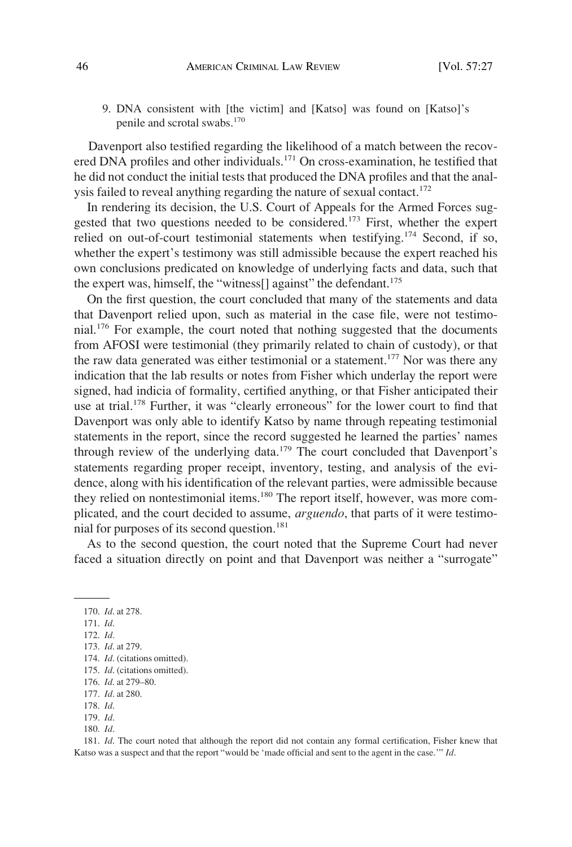9. DNA consistent with [the victim] and [Katso] was found on [Katso]'s penile and scrotal swabs.<sup>170</sup>

Davenport also testified regarding the likelihood of a match between the recovered DNA profiles and other individuals.<sup>171</sup> On cross-examination, he testified that he did not conduct the initial tests that produced the DNA profiles and that the analysis failed to reveal anything regarding the nature of sexual contact.<sup>172</sup>

In rendering its decision, the U.S. Court of Appeals for the Armed Forces suggested that two questions needed to be considered.<sup>173</sup> First, whether the expert relied on out-of-court testimonial statements when testifying.<sup>174</sup> Second, if so, whether the expert's testimony was still admissible because the expert reached his own conclusions predicated on knowledge of underlying facts and data, such that the expert was, himself, the "witness<sup>[]</sup> against" the defendant.<sup>175</sup>

On the first question, the court concluded that many of the statements and data that Davenport relied upon, such as material in the case file, were not testimonial. <sup>176</sup> For example, the court noted that nothing suggested that the documents from AFOSI were testimonial (they primarily related to chain of custody), or that the raw data generated was either testimonial or a statement.<sup>177</sup> Nor was there any indication that the lab results or notes from Fisher which underlay the report were signed, had indicia of formality, certified anything, or that Fisher anticipated their use at trial.<sup>178</sup> Further, it was "clearly erroneous" for the lower court to find that Davenport was only able to identify Katso by name through repeating testimonial statements in the report, since the record suggested he learned the parties' names through review of the underlying data.<sup>179</sup> The court concluded that Davenport's statements regarding proper receipt, inventory, testing, and analysis of the evidence, along with his identification of the relevant parties, were admissible because they relied on nontestimonial items.<sup>180</sup> The report itself, however, was more complicated, and the court decided to assume, *arguendo*, that parts of it were testimonial for purposes of its second question.<sup>181</sup>

As to the second question, the court noted that the Supreme Court had never faced a situation directly on point and that Davenport was neither a "surrogate"

170. *Id*. at 278.

171. *Id*.

173. *Id*. at 279.

180. *Id*.

181. *Id*. The court noted that although the report did not contain any formal certification, Fisher knew that Katso was a suspect and that the report "would be 'made official and sent to the agent in the case.'" *Id*.

<sup>172.</sup> *Id*.

<sup>174.</sup> *Id*. (citations omitted).

<sup>175.</sup> *Id*. (citations omitted).

<sup>176.</sup> *Id*. at 279–80.

<sup>177.</sup> *Id*. at 280.

<sup>178.</sup> *Id*. 179. *Id*.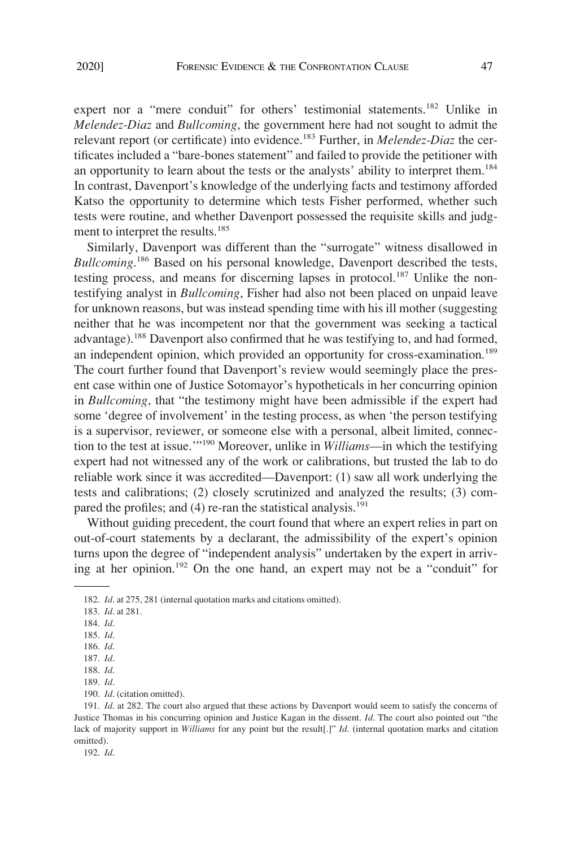expert nor a "mere conduit" for others' testimonial statements.<sup>182</sup> Unlike in *Melendez-Diaz* and *Bullcoming*, the government here had not sought to admit the relevant report (or certificate) into evidence.183 Further, in *Melendez-Diaz* the certificates included a "bare-bones statement" and failed to provide the petitioner with an opportunity to learn about the tests or the analysts' ability to interpret them.<sup>184</sup> In contrast, Davenport's knowledge of the underlying facts and testimony afforded Katso the opportunity to determine which tests Fisher performed, whether such tests were routine, and whether Davenport possessed the requisite skills and judgment to interpret the results.<sup>185</sup>

Similarly, Davenport was different than the "surrogate" witness disallowed in *Bullcoming*. 186 Based on his personal knowledge, Davenport described the tests, testing process, and means for discerning lapses in protocol.<sup>187</sup> Unlike the nontestifying analyst in *Bullcoming*, Fisher had also not been placed on unpaid leave for unknown reasons, but was instead spending time with his ill mother (suggesting neither that he was incompetent nor that the government was seeking a tactical advantage).<sup>188</sup> Davenport also confirmed that he was testifying to, and had formed, an independent opinion, which provided an opportunity for cross-examination.<sup>189</sup> The court further found that Davenport's review would seemingly place the present case within one of Justice Sotomayor's hypotheticals in her concurring opinion in *Bullcoming*, that "the testimony might have been admissible if the expert had some 'degree of involvement' in the testing process, as when 'the person testifying is a supervisor, reviewer, or someone else with a personal, albeit limited, connection to the test at issue.'"190 Moreover, unlike in *Williams*—in which the testifying expert had not witnessed any of the work or calibrations, but trusted the lab to do reliable work since it was accredited—Davenport: (1) saw all work underlying the tests and calibrations; (2) closely scrutinized and analyzed the results; (3) compared the profiles; and  $(4)$  re-ran the statistical analysis.<sup>191</sup>

Without guiding precedent, the court found that where an expert relies in part on out-of-court statements by a declarant, the admissibility of the expert's opinion turns upon the degree of "independent analysis" undertaken by the expert in arriving at her opinion.192 On the one hand, an expert may not be a "conduit" for

192. *Id*.

<sup>182.</sup> *Id*. at 275, 281 (internal quotation marks and citations omitted).

<sup>183.</sup> *Id*. at 281.

<sup>184.</sup> *Id*.

<sup>185.</sup> *Id*.

<sup>186.</sup> *Id*.

<sup>187.</sup> *Id*.

<sup>188.</sup> *Id*.

<sup>189.</sup> *Id*.

<sup>190.</sup> *Id*. (citation omitted).

<sup>191.</sup> *Id*. at 282. The court also argued that these actions by Davenport would seem to satisfy the concerns of Justice Thomas in his concurring opinion and Justice Kagan in the dissent. *Id*. The court also pointed out "the lack of majority support in *Williams* for any point but the result[.]" *Id*. (internal quotation marks and citation omitted).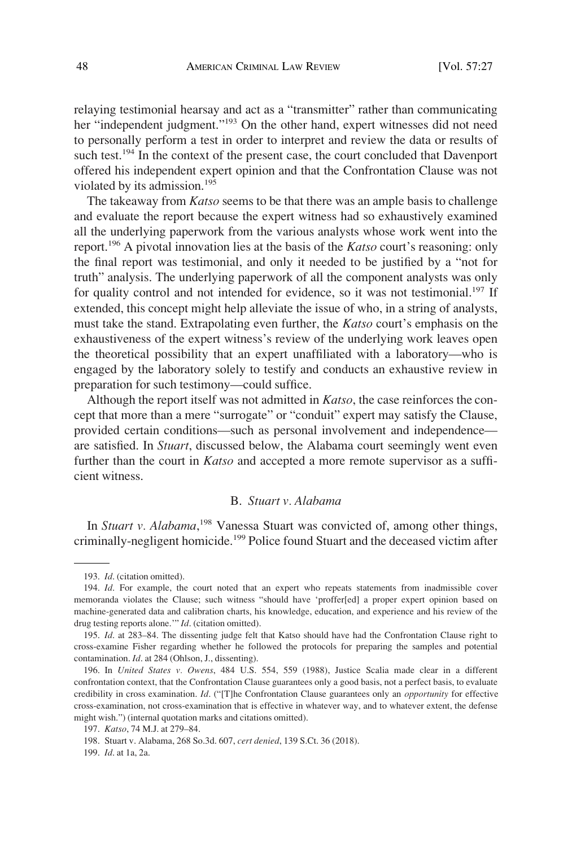relaying testimonial hearsay and act as a "transmitter" rather than communicating her "independent judgment."<sup>193</sup> On the other hand, expert witnesses did not need to personally perform a test in order to interpret and review the data or results of such test.<sup>194</sup> In the context of the present case, the court concluded that Davenport offered his independent expert opinion and that the Confrontation Clause was not violated by its admission.<sup>195</sup>

The takeaway from *Katso* seems to be that there was an ample basis to challenge and evaluate the report because the expert witness had so exhaustively examined all the underlying paperwork from the various analysts whose work went into the report.196 A pivotal innovation lies at the basis of the *Katso* court's reasoning: only the final report was testimonial, and only it needed to be justified by a "not for truth" analysis. The underlying paperwork of all the component analysts was only for quality control and not intended for evidence, so it was not testimonial.<sup>197</sup> If extended, this concept might help alleviate the issue of who, in a string of analysts, must take the stand. Extrapolating even further, the *Katso* court's emphasis on the exhaustiveness of the expert witness's review of the underlying work leaves open the theoretical possibility that an expert unaffiliated with a laboratory—who is engaged by the laboratory solely to testify and conducts an exhaustive review in preparation for such testimony—could suffice.

Although the report itself was not admitted in *Katso*, the case reinforces the concept that more than a mere "surrogate" or "conduit" expert may satisfy the Clause, provided certain conditions—such as personal involvement and independence are satisfied. In *Stuart*, discussed below, the Alabama court seemingly went even further than the court in *Katso* and accepted a more remote supervisor as a sufficient witness.

# B. *Stuart v. Alabama*

In *Stuart v. Alabama*, 198 Vanessa Stuart was convicted of, among other things, criminally-negligent homicide.<sup>199</sup> Police found Stuart and the deceased victim after

<sup>193.</sup> *Id*. (citation omitted).

<sup>194.</sup> *Id*. For example, the court noted that an expert who repeats statements from inadmissible cover memoranda violates the Clause; such witness "should have 'proffer[ed] a proper expert opinion based on machine-generated data and calibration charts, his knowledge, education, and experience and his review of the drug testing reports alone.'" *Id*. (citation omitted).

<sup>195.</sup> *Id*. at 283–84. The dissenting judge felt that Katso should have had the Confrontation Clause right to cross-examine Fisher regarding whether he followed the protocols for preparing the samples and potential contamination. *Id*. at 284 (Ohlson, J., dissenting).

<sup>196.</sup> In *United States v. Owens*, 484 U.S. 554, 559 (1988), Justice Scalia made clear in a different confrontation context, that the Confrontation Clause guarantees only a good basis, not a perfect basis, to evaluate credibility in cross examination. *Id*. ("[T]he Confrontation Clause guarantees only an *opportunity* for effective cross-examination, not cross-examination that is effective in whatever way, and to whatever extent, the defense might wish.") (internal quotation marks and citations omitted).

<sup>197.</sup> *Katso*, 74 M.J. at 279–84.

<sup>198.</sup> Stuart v. Alabama, 268 So.3d. 607, *cert denied*, 139 S.Ct. 36 (2018).

<sup>199.</sup> *Id*. at 1a, 2a.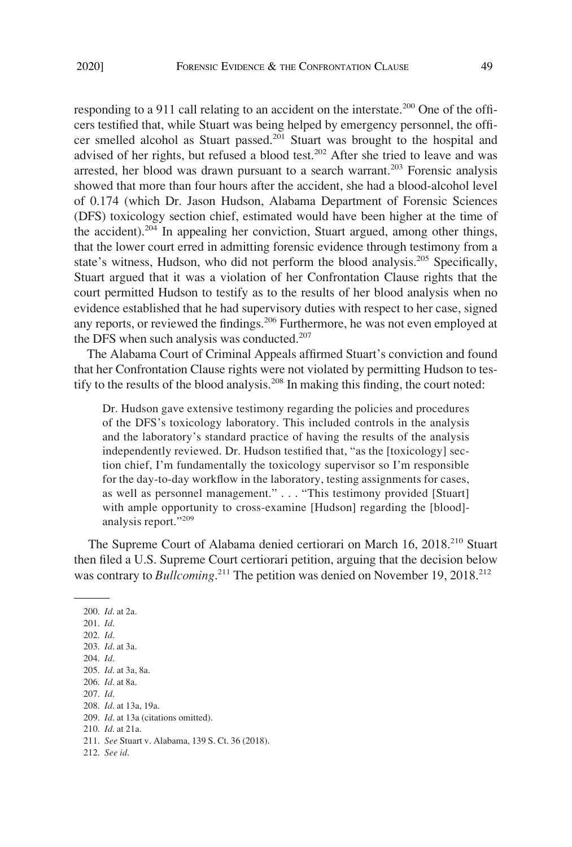responding to a 911 call relating to an accident on the interstate.<sup>200</sup> One of the officers testified that, while Stuart was being helped by emergency personnel, the officer smelled alcohol as Stuart passed.<sup>201</sup> Stuart was brought to the hospital and advised of her rights, but refused a blood test.<sup>202</sup> After she tried to leave and was arrested, her blood was drawn pursuant to a search warrant.<sup>203</sup> Forensic analysis showed that more than four hours after the accident, she had a blood-alcohol level of 0.174 (which Dr. Jason Hudson, Alabama Department of Forensic Sciences (DFS) toxicology section chief, estimated would have been higher at the time of the accident).204 In appealing her conviction, Stuart argued, among other things, that the lower court erred in admitting forensic evidence through testimony from a state's witness, Hudson, who did not perform the blood analysis.<sup>205</sup> Specifically, Stuart argued that it was a violation of her Confrontation Clause rights that the court permitted Hudson to testify as to the results of her blood analysis when no evidence established that he had supervisory duties with respect to her case, signed any reports, or reviewed the findings.<sup>206</sup> Furthermore, he was not even employed at the DFS when such analysis was conducted.<sup>207</sup>

The Alabama Court of Criminal Appeals affirmed Stuart's conviction and found that her Confrontation Clause rights were not violated by permitting Hudson to testify to the results of the blood analysis.<sup>208</sup> In making this finding, the court noted:

Dr. Hudson gave extensive testimony regarding the policies and procedures of the DFS's toxicology laboratory. This included controls in the analysis and the laboratory's standard practice of having the results of the analysis independently reviewed. Dr. Hudson testified that, "as the [toxicology] section chief, I'm fundamentally the toxicology supervisor so I'm responsible for the day-to-day workflow in the laboratory, testing assignments for cases, as well as personnel management." . . . "This testimony provided [Stuart] with ample opportunity to cross-examine [Hudson] regarding the [blood] analysis report."<sup>209</sup>

The Supreme Court of Alabama denied certiorari on March 16, 2018.<sup>210</sup> Stuart then filed a U.S. Supreme Court certiorari petition, arguing that the decision below was contrary to *Bullcoming*.<sup>211</sup> The petition was denied on November 19, 2018.<sup>212</sup>

200. *Id*. at 2a. 201. *Id*. 202. *Id*. 203. *Id*. at 3a. 204. *Id*. 205. *Id*. at 3a, 8a. 206. *Id*. at 8a. 207. *Id*. 208. *Id*. at 13a, 19a. 209. *Id*. at 13a (citations omitted). 210. *Id*. at 21a. 211. *See* Stuart v. Alabama, 139 S. Ct. 36 (2018). 212. *See id*.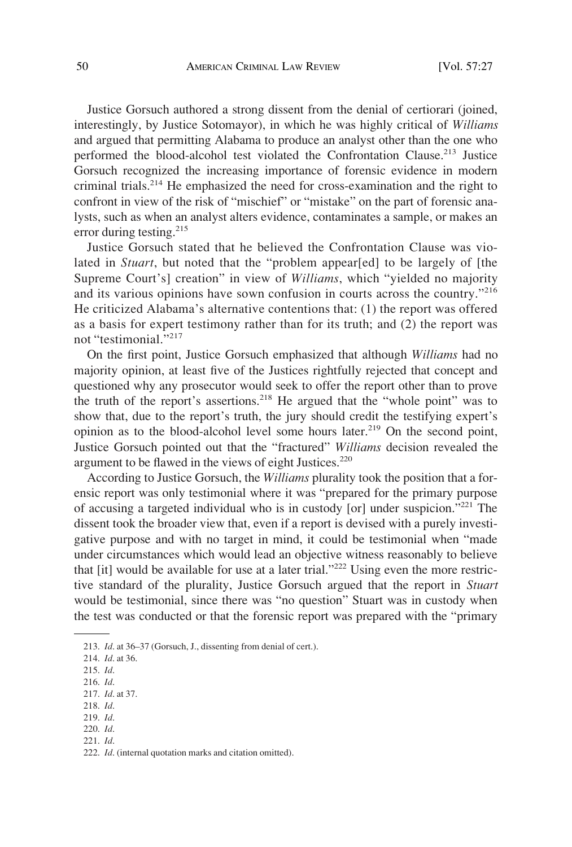Justice Gorsuch authored a strong dissent from the denial of certiorari (joined, interestingly, by Justice Sotomayor), in which he was highly critical of *Williams*  and argued that permitting Alabama to produce an analyst other than the one who performed the blood-alcohol test violated the Confrontation Clause.<sup>213</sup> Justice Gorsuch recognized the increasing importance of forensic evidence in modern criminal trials.<sup>214</sup> He emphasized the need for cross-examination and the right to confront in view of the risk of "mischief" or "mistake" on the part of forensic analysts, such as when an analyst alters evidence, contaminates a sample, or makes an error during testing.<sup>215</sup>

Justice Gorsuch stated that he believed the Confrontation Clause was violated in *Stuart*, but noted that the "problem appear[ed] to be largely of [the Supreme Court's] creation" in view of *Williams*, which "yielded no majority and its various opinions have sown confusion in courts across the country."<sup>216</sup> He criticized Alabama's alternative contentions that: (1) the report was offered as a basis for expert testimony rather than for its truth; and (2) the report was not "testimonial."<sup>217</sup>

On the first point, Justice Gorsuch emphasized that although *Williams* had no majority opinion, at least five of the Justices rightfully rejected that concept and questioned why any prosecutor would seek to offer the report other than to prove the truth of the report's assertions.218 He argued that the "whole point" was to show that, due to the report's truth, the jury should credit the testifying expert's opinion as to the blood-alcohol level some hours later.219 On the second point, Justice Gorsuch pointed out that the "fractured" *Williams* decision revealed the argument to be flawed in the views of eight Justices. $220$ 

According to Justice Gorsuch, the *Williams* plurality took the position that a forensic report was only testimonial where it was "prepared for the primary purpose of accusing a targeted individual who is in custody [or] under suspicion."221 The dissent took the broader view that, even if a report is devised with a purely investigative purpose and with no target in mind, it could be testimonial when "made under circumstances which would lead an objective witness reasonably to believe that [it] would be available for use at a later trial."<sup>222</sup> Using even the more restrictive standard of the plurality, Justice Gorsuch argued that the report in *Stuart*  would be testimonial, since there was "no question" Stuart was in custody when the test was conducted or that the forensic report was prepared with the "primary

- 220. *Id*.
- 221. *Id*.

<sup>213.</sup> *Id*. at 36–37 (Gorsuch, J., dissenting from denial of cert.).

<sup>214.</sup> *Id*. at 36.

<sup>215.</sup> *Id*.

<sup>216.</sup> *Id*.

<sup>217.</sup> *Id*. at 37.

<sup>218.</sup> *Id*. 219. *Id*.

<sup>222.</sup> *Id*. (internal quotation marks and citation omitted).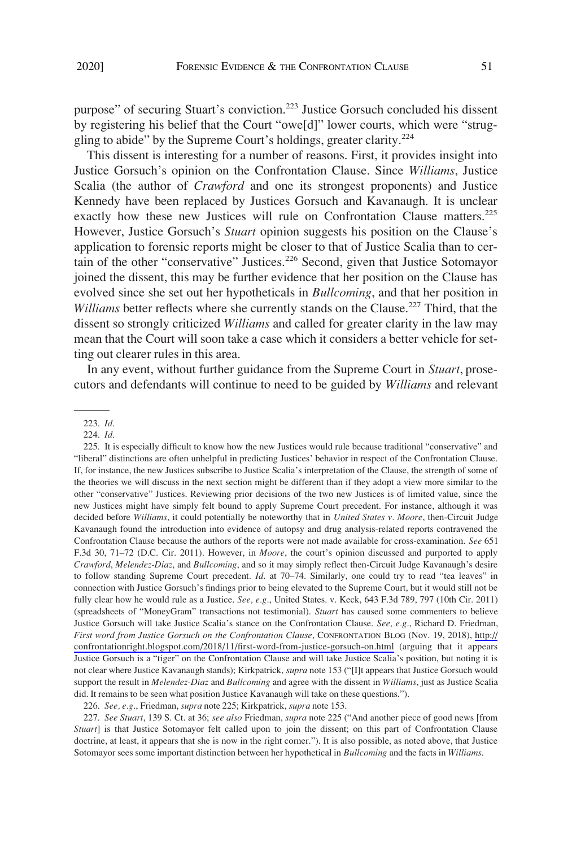purpose" of securing Stuart's conviction.223 Justice Gorsuch concluded his dissent by registering his belief that the Court "owe[d]" lower courts, which were "struggling to abide" by the Supreme Court's holdings, greater clarity.<sup>224</sup>

This dissent is interesting for a number of reasons. First, it provides insight into Justice Gorsuch's opinion on the Confrontation Clause. Since *Williams*, Justice Scalia (the author of *Crawford* and one its strongest proponents) and Justice Kennedy have been replaced by Justices Gorsuch and Kavanaugh. It is unclear exactly how these new Justices will rule on Confrontation Clause matters.<sup>225</sup> However, Justice Gorsuch's *Stuart* opinion suggests his position on the Clause's application to forensic reports might be closer to that of Justice Scalia than to certain of the other "conservative" Justices.226 Second, given that Justice Sotomayor joined the dissent, this may be further evidence that her position on the Clause has evolved since she set out her hypotheticals in *Bullcoming*, and that her position in *Williams* better reflects where she currently stands on the Clause.<sup>227</sup> Third, that the dissent so strongly criticized *Williams* and called for greater clarity in the law may mean that the Court will soon take a case which it considers a better vehicle for setting out clearer rules in this area.

In any event, without further guidance from the Supreme Court in *Stuart*, prosecutors and defendants will continue to need to be guided by *Williams* and relevant

225. It is especially difficult to know how the new Justices would rule because traditional "conservative" and "liberal" distinctions are often unhelpful in predicting Justices' behavior in respect of the Confrontation Clause. If, for instance, the new Justices subscribe to Justice Scalia's interpretation of the Clause, the strength of some of the theories we will discuss in the next section might be different than if they adopt a view more similar to the other "conservative" Justices. Reviewing prior decisions of the two new Justices is of limited value, since the new Justices might have simply felt bound to apply Supreme Court precedent. For instance, although it was decided before *Williams*, it could potentially be noteworthy that in *United States v. Moore*, then-Circuit Judge Kavanaugh found the introduction into evidence of autopsy and drug analysis-related reports contravened the Confrontation Clause because the authors of the reports were not made available for cross-examination. *See* 651 F.3d 30, 71–72 (D.C. Cir. 2011). However, in *Moore*, the court's opinion discussed and purported to apply *Crawford*, *Melendez-Diaz*, and *Bullcoming*, and so it may simply reflect then-Circuit Judge Kavanaugh's desire to follow standing Supreme Court precedent. *Id*. at 70–74. Similarly, one could try to read "tea leaves" in connection with Justice Gorsuch's findings prior to being elevated to the Supreme Court, but it would still not be fully clear how he would rule as a Justice. *See, e.g*., United States. v. Keck, 643 F.3d 789, 797 (10th Cir. 2011) (spreadsheets of "MoneyGram" transactions not testimonial). *Stuart* has caused some commenters to believe Justice Gorsuch will take Justice Scalia's stance on the Confrontation Clause. *See, e.g*., Richard D. Friedman, *First word from Justice Gorsuch on the Confrontation Clause*, CONFRONTATION BLOG (Nov. 19, 2018), [http://](http://confrontationright.blogspot.com/2018/11/first-word-from-justice-gorsuch-on.html) [confrontationright.blogspot.com/2018/11/first-word-from-justice-gorsuch-on.html](http://confrontationright.blogspot.com/2018/11/first-word-from-justice-gorsuch-on.html) (arguing that it appears Justice Gorsuch is a "tiger" on the Confrontation Clause and will take Justice Scalia's position, but noting it is not clear where Justice Kavanaugh stands); Kirkpatrick, *supra* note 153 ("[I]t appears that Justice Gorsuch would support the result in *Melendez-Diaz* and *Bullcoming* and agree with the dissent in *Williams*, just as Justice Scalia did. It remains to be seen what position Justice Kavanaugh will take on these questions.").

226. *See, e.g*., Friedman, *supra* note 225; Kirkpatrick, *supra* note 153.

227. *See Stuart*, 139 S. Ct. at 36; *see also* Friedman, *supra* note 225 ("And another piece of good news [from *Stuart*] is that Justice Sotomayor felt called upon to join the dissent; on this part of Confrontation Clause doctrine, at least, it appears that she is now in the right corner."). It is also possible, as noted above, that Justice Sotomayor sees some important distinction between her hypothetical in *Bullcoming* and the facts in *Williams*.

<sup>223.</sup> *Id*.

<sup>224.</sup> *Id*.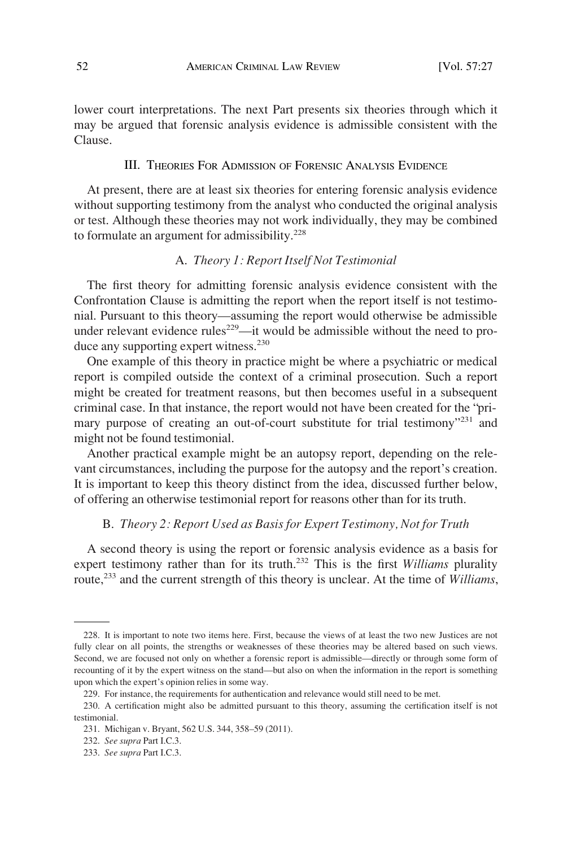lower court interpretations. The next Part presents six theories through which it may be argued that forensic analysis evidence is admissible consistent with the Clause.

## III. THEORIES FOR ADMISSION OF FORENSIC ANALYSIS EVIDENCE

At present, there are at least six theories for entering forensic analysis evidence without supporting testimony from the analyst who conducted the original analysis or test. Although these theories may not work individually, they may be combined to formulate an argument for admissibility.<sup>228</sup>

# A. *Theory 1: Report Itself Not Testimonial*

The first theory for admitting forensic analysis evidence consistent with the Confrontation Clause is admitting the report when the report itself is not testimonial. Pursuant to this theory—assuming the report would otherwise be admissible under relevant evidence rules<sup>229</sup>—it would be admissible without the need to produce any supporting expert witness.<sup>230</sup>

One example of this theory in practice might be where a psychiatric or medical report is compiled outside the context of a criminal prosecution. Such a report might be created for treatment reasons, but then becomes useful in a subsequent criminal case. In that instance, the report would not have been created for the "primary purpose of creating an out-of-court substitute for trial testimony"<sup>231</sup> and might not be found testimonial.

Another practical example might be an autopsy report, depending on the relevant circumstances, including the purpose for the autopsy and the report's creation. It is important to keep this theory distinct from the idea, discussed further below, of offering an otherwise testimonial report for reasons other than for its truth.

#### B. *Theory 2: Report Used as Basis for Expert Testimony, Not for Truth*

A second theory is using the report or forensic analysis evidence as a basis for expert testimony rather than for its truth.232 This is the first *Williams* plurality route,233 and the current strength of this theory is unclear. At the time of *Williams*,

<sup>228.</sup> It is important to note two items here. First, because the views of at least the two new Justices are not fully clear on all points, the strengths or weaknesses of these theories may be altered based on such views. Second, we are focused not only on whether a forensic report is admissible—directly or through some form of recounting of it by the expert witness on the stand—but also on when the information in the report is something upon which the expert's opinion relies in some way.

<sup>229.</sup> For instance, the requirements for authentication and relevance would still need to be met.

<sup>230.</sup> A certification might also be admitted pursuant to this theory, assuming the certification itself is not testimonial.

<sup>231.</sup> Michigan v. Bryant, 562 U.S. 344, 358–59 (2011).

<sup>232.</sup> *See supra* Part I.C.3.

<sup>233.</sup> *See supra* Part I.C.3.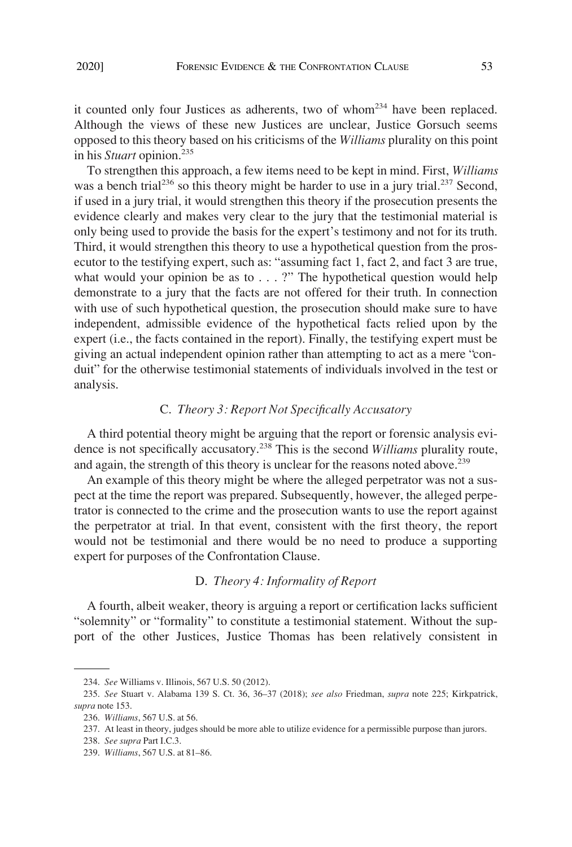it counted only four Justices as adherents, two of whom<sup>234</sup> have been replaced. Although the views of these new Justices are unclear, Justice Gorsuch seems opposed to this theory based on his criticisms of the *Williams* plurality on this point in his *Stuart* opinion.235

To strengthen this approach, a few items need to be kept in mind. First, *Williams*  was a bench trial<sup>236</sup> so this theory might be harder to use in a jury trial.<sup>237</sup> Second, if used in a jury trial, it would strengthen this theory if the prosecution presents the evidence clearly and makes very clear to the jury that the testimonial material is only being used to provide the basis for the expert's testimony and not for its truth. Third, it would strengthen this theory to use a hypothetical question from the prosecutor to the testifying expert, such as: "assuming fact 1, fact 2, and fact 3 are true, what would your opinion be as to  $\ldots$  ?" The hypothetical question would help demonstrate to a jury that the facts are not offered for their truth. In connection with use of such hypothetical question, the prosecution should make sure to have independent, admissible evidence of the hypothetical facts relied upon by the expert (i.e., the facts contained in the report). Finally, the testifying expert must be giving an actual independent opinion rather than attempting to act as a mere "conduit" for the otherwise testimonial statements of individuals involved in the test or analysis.

### C. *Theory 3: Report Not Specifically Accusatory*

A third potential theory might be arguing that the report or forensic analysis evidence is not specifically accusatory.238 This is the second *Williams* plurality route, and again, the strength of this theory is unclear for the reasons noted above.<sup>239</sup>

An example of this theory might be where the alleged perpetrator was not a suspect at the time the report was prepared. Subsequently, however, the alleged perpetrator is connected to the crime and the prosecution wants to use the report against the perpetrator at trial. In that event, consistent with the first theory, the report would not be testimonial and there would be no need to produce a supporting expert for purposes of the Confrontation Clause.

#### D. *Theory 4: Informality of Report*

A fourth, albeit weaker, theory is arguing a report or certification lacks sufficient "solemnity" or "formality" to constitute a testimonial statement. Without the support of the other Justices, Justice Thomas has been relatively consistent in

<sup>234.</sup> *See* Williams v. Illinois, 567 U.S. 50 (2012).

<sup>235.</sup> *See* Stuart v. Alabama 139 S. Ct. 36, 36–37 (2018); *see also* Friedman, *supra* note 225; Kirkpatrick, *supra* note 153.

<sup>236.</sup> *Williams*, 567 U.S. at 56.

<sup>237.</sup> At least in theory, judges should be more able to utilize evidence for a permissible purpose than jurors.

<sup>238.</sup> *See supra* Part I.C.3.

<sup>239.</sup> *Williams*, 567 U.S. at 81–86.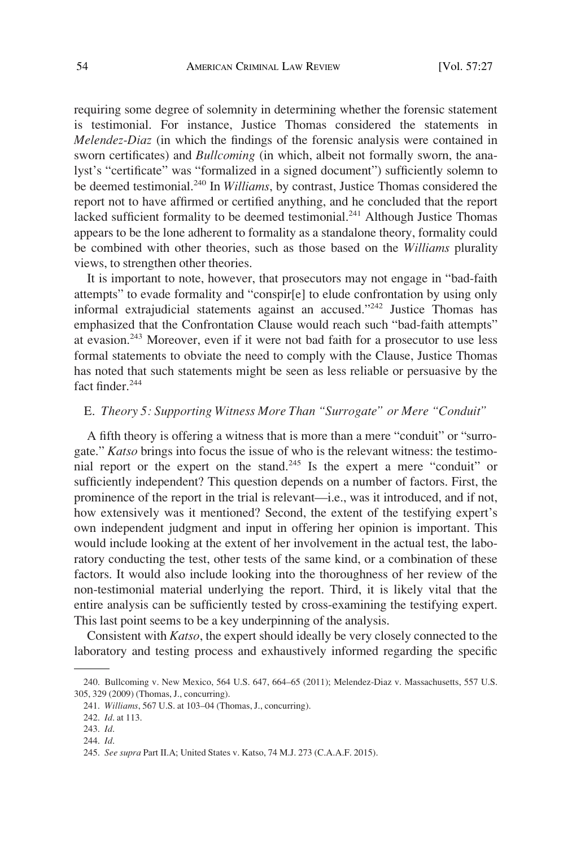requiring some degree of solemnity in determining whether the forensic statement is testimonial. For instance, Justice Thomas considered the statements in *Melendez-Diaz* (in which the findings of the forensic analysis were contained in sworn certificates) and *Bullcoming* (in which, albeit not formally sworn, the analyst's "certificate" was "formalized in a signed document") sufficiently solemn to be deemed testimonial.<sup>240</sup> In *Williams*, by contrast, Justice Thomas considered the report not to have affirmed or certified anything, and he concluded that the report lacked sufficient formality to be deemed testimonial.<sup>241</sup> Although Justice Thomas appears to be the lone adherent to formality as a standalone theory, formality could be combined with other theories, such as those based on the *Williams* plurality views, to strengthen other theories.

It is important to note, however, that prosecutors may not engage in "bad-faith attempts" to evade formality and "conspir[e] to elude confrontation by using only informal extrajudicial statements against an accused."<sup>242</sup> Justice Thomas has emphasized that the Confrontation Clause would reach such "bad-faith attempts" at evasion.<sup>243</sup> Moreover, even if it were not bad faith for a prosecutor to use less formal statements to obviate the need to comply with the Clause, Justice Thomas has noted that such statements might be seen as less reliable or persuasive by the fact finder.<sup>244</sup>

#### E. *Theory 5: Supporting Witness More Than "Surrogate" or Mere "Conduit"*

A fifth theory is offering a witness that is more than a mere "conduit" or "surrogate." *Katso* brings into focus the issue of who is the relevant witness: the testimonial report or the expert on the stand.245 Is the expert a mere "conduit" or sufficiently independent? This question depends on a number of factors. First, the prominence of the report in the trial is relevant—i.e., was it introduced, and if not, how extensively was it mentioned? Second, the extent of the testifying expert's own independent judgment and input in offering her opinion is important. This would include looking at the extent of her involvement in the actual test, the laboratory conducting the test, other tests of the same kind, or a combination of these factors. It would also include looking into the thoroughness of her review of the non-testimonial material underlying the report. Third, it is likely vital that the entire analysis can be sufficiently tested by cross-examining the testifying expert. This last point seems to be a key underpinning of the analysis.

Consistent with *Katso*, the expert should ideally be very closely connected to the laboratory and testing process and exhaustively informed regarding the specific

<sup>240.</sup> Bullcoming v. New Mexico, 564 U.S. 647, 664–65 (2011); Melendez-Diaz v. Massachusetts, 557 U.S. 305, 329 (2009) (Thomas, J., concurring).

<sup>241.</sup> *Williams*, 567 U.S. at 103–04 (Thomas, J., concurring).

<sup>242.</sup> *Id*. at 113.

<sup>243.</sup> *Id*.

<sup>244.</sup> *Id*.

<sup>245.</sup> *See supra* Part II.A; United States v. Katso, 74 M.J. 273 (C.A.A.F. 2015).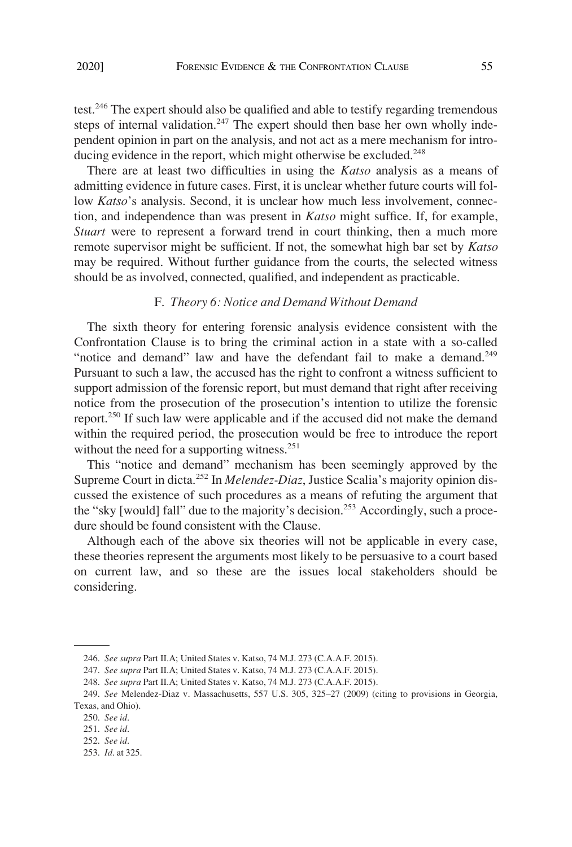There are at least two difficulties in using the *Katso* analysis as a means of admitting evidence in future cases. First, it is unclear whether future courts will follow *Katso*'s analysis. Second, it is unclear how much less involvement, connection, and independence than was present in *Katso* might suffice. If, for example, *Stuart* were to represent a forward trend in court thinking, then a much more remote supervisor might be sufficient. If not, the somewhat high bar set by *Katso*  may be required. Without further guidance from the courts, the selected witness should be as involved, connected, qualified, and independent as practicable.

#### F. *Theory 6: Notice and Demand Without Demand*

The sixth theory for entering forensic analysis evidence consistent with the Confrontation Clause is to bring the criminal action in a state with a so-called "notice and demand" law and have the defendant fail to make a demand.<sup>249</sup> Pursuant to such a law, the accused has the right to confront a witness sufficient to support admission of the forensic report, but must demand that right after receiving notice from the prosecution of the prosecution's intention to utilize the forensic report.<sup>250</sup> If such law were applicable and if the accused did not make the demand within the required period, the prosecution would be free to introduce the report without the need for a supporting witness.<sup>251</sup>

This "notice and demand" mechanism has been seemingly approved by the Supreme Court in dicta.252 In *Melendez-Diaz*, Justice Scalia's majority opinion discussed the existence of such procedures as a means of refuting the argument that the "sky [would] fall" due to the majority's decision.<sup>253</sup> Accordingly, such a procedure should be found consistent with the Clause.

Although each of the above six theories will not be applicable in every case, these theories represent the arguments most likely to be persuasive to a court based on current law, and so these are the issues local stakeholders should be considering.

<sup>246.</sup> *See supra* Part II.A; United States v. Katso, 74 M.J. 273 (C.A.A.F. 2015).

<sup>247.</sup> *See supra* Part II.A; United States v. Katso, 74 M.J. 273 (C.A.A.F. 2015).

<sup>248.</sup> *See supra* Part II.A; United States v. Katso, 74 M.J. 273 (C.A.A.F. 2015).

<sup>249.</sup> *See* Melendez-Diaz v. Massachusetts, 557 U.S. 305, 325–27 (2009) (citing to provisions in Georgia, Texas, and Ohio).

<sup>250.</sup> *See id*.

<sup>251.</sup> *See id*.

<sup>252.</sup> *See id*.

<sup>253.</sup> *Id*. at 325.